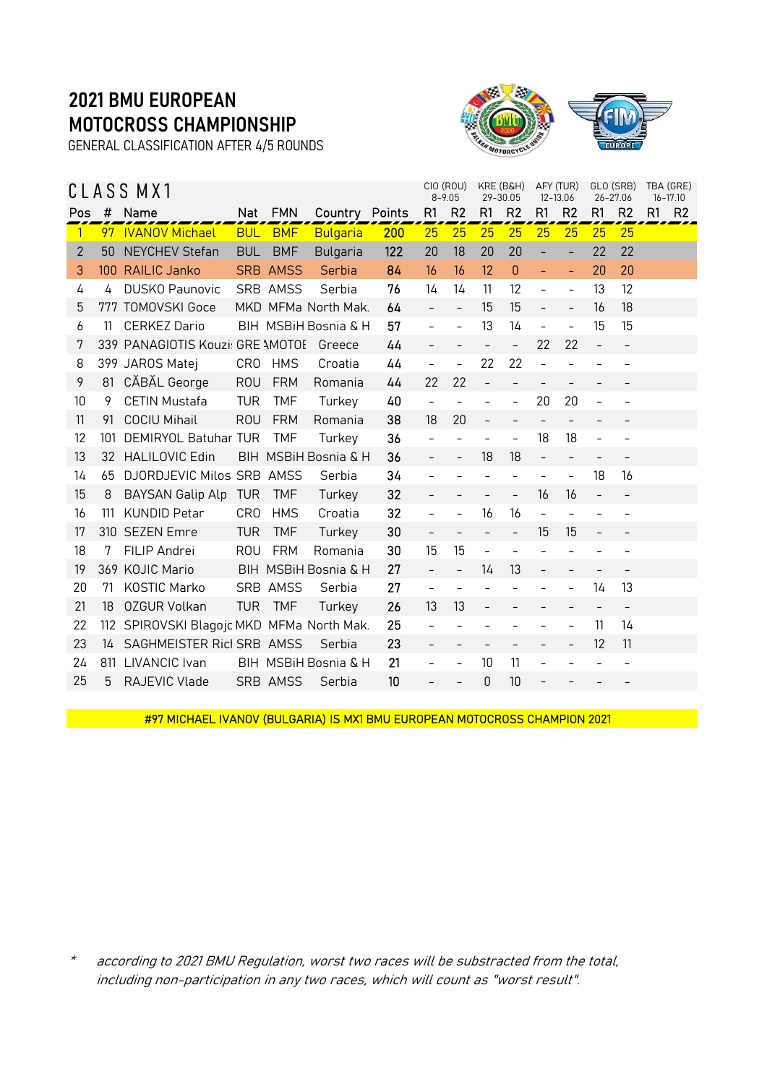GENERAL CLASSIFICATION AFTER 4/5 ROUNDS



|              |     | CLASS MX1                             |                 |                 |                      |     | CIO (ROU)                | $8 - 9.05$               |                          | KRE (B&H)<br>29-30.05    |                          | AFY (TUR)<br>12-13.06    |                          | GLO (SRB)<br>26-27.06    |    | TBA (GRE)<br>16-17.10 |
|--------------|-----|---------------------------------------|-----------------|-----------------|----------------------|-----|--------------------------|--------------------------|--------------------------|--------------------------|--------------------------|--------------------------|--------------------------|--------------------------|----|-----------------------|
| Pos          | #   | Name                                  | Nat             | <b>FMN</b>      | Country Points       |     | R1                       | R <sub>2</sub>           | R <sub>1</sub>           | R <sub>2</sub>           | R1                       | R <sub>2</sub>           | R1                       | R <sub>2</sub>           | R1 | R <sub>2</sub>        |
| $\mathbf{1}$ | 97  | <b>IVANOV Michael</b>                 | <b>BUL</b>      | <b>BMF</b>      | <b>Bulgaria</b>      | 200 | 25                       | 25                       | 25                       | 25                       | 25                       | 25                       | 25                       | 25                       |    |                       |
| $\mathbf{2}$ | 50  | <b>NEYCHEV Stefan</b>                 | <b>BUL</b>      | <b>BMF</b>      | <b>Bulgaria</b>      | 122 | 20                       | 18                       | 20                       | 20                       | ÷                        | $\overline{\phantom{a}}$ | 22                       | 22                       |    |                       |
| 3            |     | 100 RAILIC Janko                      |                 | <b>SRB AMSS</b> | Serbia               | 84  | 16                       | 16                       | 12                       | 0                        | ÷,                       | $\equiv$                 | 20                       | 20                       |    |                       |
| 4            | 4   | <b>DUSKO Paunovic</b>                 |                 | SRB AMSS        | Serbia               | 76  | 14                       | 14                       | 11                       | 12                       | $\overline{\phantom{0}}$ | $\overline{\phantom{a}}$ | 13                       | $12 \overline{ }$        |    |                       |
| 5            |     | 777 TOMOVSKI Goce                     |                 |                 | MKD MFMa North Mak.  | 64  | $\equiv$                 | $\frac{1}{2}$            | 15                       | 15                       | $\overline{a}$           | $\overline{\phantom{a}}$ | 16                       | 18                       |    |                       |
| 6            | 11  | <b>CERKEZ Dario</b>                   |                 |                 | BIH MSBiH Bosnia & H | 57  | $\frac{1}{2}$            | $\overline{a}$           | 13                       | 14                       | $\overline{a}$           | $\overline{\phantom{a}}$ | 15                       | 15                       |    |                       |
| 7            |     | 339 PANAGIOTIS Kouzi: GRE \MOTOE      |                 |                 | Greece               | 44  |                          |                          | $\overline{\phantom{a}}$ | $\bar{ }$                | 22                       | 22                       |                          | $\overline{\phantom{a}}$ |    |                       |
| 8            |     | 399 JAROS Matej                       | CR <sub>0</sub> | <b>HMS</b>      | Croatia              | 44  | $\overline{\phantom{a}}$ | $\overline{\phantom{a}}$ | 22                       | 22                       | $\overline{a}$           |                          |                          |                          |    |                       |
| 9            | 81  | CĂBĂL George                          | <b>ROU</b>      | <b>FRM</b>      | Romania              | 44  | 22                       | 22                       | $\overline{a}$           | $\overline{\phantom{a}}$ | $\overline{a}$           |                          |                          |                          |    |                       |
| 10           | 9   | <b>CETIN Mustafa</b>                  | <b>TUR</b>      | <b>TMF</b>      | Turkey               | 40  | $\overline{\phantom{a}}$ | $\overline{\phantom{0}}$ | $\overline{a}$           | $\bar{\phantom{a}}$      | 20                       | 20                       | $\overline{a}$           | $\overline{\phantom{a}}$ |    |                       |
| 11           | 91  | <b>COCIU Mihail</b>                   | <b>ROU</b>      | <b>FRM</b>      | Romania              | 38  | 18                       | 20                       |                          |                          | $\overline{\phantom{a}}$ |                          |                          |                          |    |                       |
| 12           | 101 | DEMIRYOL Batuhar TUR                  |                 | <b>TMF</b>      | Turkey               | 36  |                          | $\overline{a}$           | $\overline{a}$           | $\overline{a}$           | 18                       | 18                       |                          |                          |    |                       |
| 13           | 32  | <b>HALILOVIC Edin</b>                 |                 |                 | BIH MSBiH Bosnia & H | 36  | $\overline{\phantom{a}}$ | $\qquad \qquad -$        | 18                       | 18                       | $\overline{\phantom{a}}$ | $\overline{\phantom{a}}$ | $\overline{\phantom{a}}$ | $\overline{\phantom{a}}$ |    |                       |
| 14           | 65  | DJORDJEVIC Milos SRB AMSS             |                 |                 | Serbia               | 34  |                          |                          |                          | $\overline{\phantom{0}}$ | $\overline{\phantom{a}}$ |                          | 18                       | 16                       |    |                       |
| 15           | 8   | <b>BAYSAN Galip Alp</b>               | <b>TUR</b>      | <b>TMF</b>      | Turkey               | 32  |                          |                          |                          | $\bar{ }$                | 16                       | 16                       |                          |                          |    |                       |
| 16           | 111 | <b>KUNDID Petar</b>                   | <b>CRO</b>      | <b>HMS</b>      | Croatia              | 32  | $\equiv$                 | $\overline{a}$           | 16                       | 16                       | $\overline{a}$           |                          |                          | $\overline{\phantom{a}}$ |    |                       |
| 17           |     | 310 SEZEN Emre                        | <b>TUR</b>      | <b>TMF</b>      | Turkey               | 30  |                          |                          | $\overline{\phantom{0}}$ | $\overline{\phantom{m}}$ | 15                       | 15                       |                          |                          |    |                       |
| 18           | 7   | FILIP Andrei                          | <b>ROU</b>      | <b>FRM</b>      | Romania              | 30  | 15                       | 15                       | $\overline{\phantom{m}}$ | $\overline{\phantom{a}}$ |                          |                          |                          |                          |    |                       |
| 19           |     | 369 KOJIC Mario                       |                 |                 | BIH MSBiH Bosnia & H | 27  |                          | $\overline{\phantom{0}}$ | 14                       | 13                       | $\overline{\phantom{0}}$ |                          |                          |                          |    |                       |
| 20           | 71  | <b>KOSTIC Marko</b>                   |                 | SRB AMSS        | Serbia               | 27  | $\equiv$                 | $\overline{a}$           | $\qquad \qquad -$        |                          | $\overline{\phantom{a}}$ |                          | 14                       | 13                       |    |                       |
| 21           | 18  | <b>OZGUR Volkan</b>                   | <b>TUR</b>      | <b>TMF</b>      | Turkey               | 26  | 13                       | 13                       |                          |                          |                          |                          | $\qquad \qquad -$        | $\qquad \qquad -$        |    |                       |
| 22           | 112 | SPIROVSKI Blagojc MKD MFMa North Mak. |                 |                 |                      | 25  | $\overline{\phantom{a}}$ |                          |                          |                          |                          |                          | 11                       | 14                       |    |                       |
| 23           | 14  | SAGHMEISTER Ricl SRB AMSS             |                 |                 | Serbia               | 23  | $\overline{\phantom{0}}$ | $\overline{\phantom{0}}$ | $\overline{\phantom{a}}$ | $\qquad \qquad -$        | $\overline{\phantom{0}}$ | $\overline{\phantom{a}}$ | 12                       | 11                       |    |                       |
| 24           | 811 | LIVANCIC Ivan                         |                 |                 | BIH MSBIH Bosnia & H | 21  | $\overline{\phantom{a}}$ | $\overline{\phantom{a}}$ | 10                       | 11                       | $\overline{\phantom{0}}$ |                          |                          | $\qquad \qquad -$        |    |                       |
| 25           | 5   | RAJEVIC Vlade                         |                 | SRB AMSS        | Serbia               | 10  |                          |                          | 0                        | 10                       |                          |                          |                          |                          |    |                       |

#97 MICHAEL IVANOV (BULGARIA) IS MX1 BMU EUROPEAN MOTOCROSS CHAMPION 2021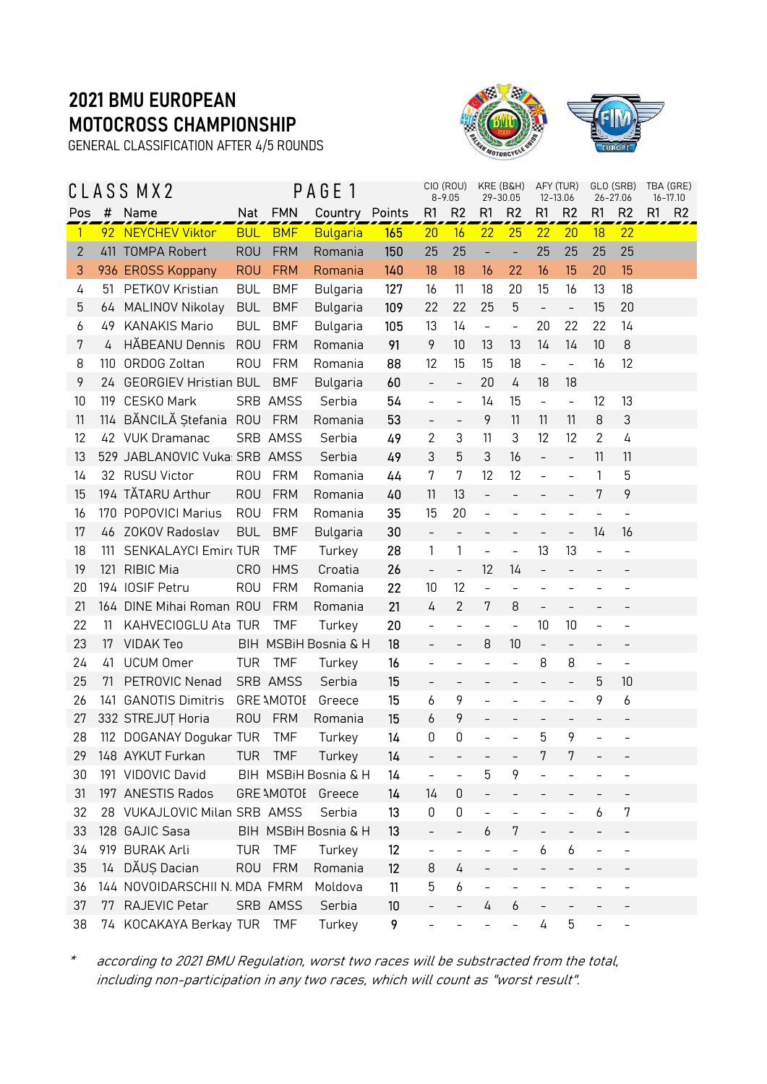GENERAL CLASSIFICATION AFTER 4/5 ROUNDS



|              |     | CLASS MX2                     |            |                   | PAGE 1                |     |                          | CIO (ROU)<br>$8 - 9.05$  | KRE (B&H)<br>29-30.05    |                          |                          | AFY (TUR)<br>12-13.06    |                          | GLO (SRB)<br>26-27.06    | TBA (GRE)<br>$16 - 17.10$ |                |
|--------------|-----|-------------------------------|------------|-------------------|-----------------------|-----|--------------------------|--------------------------|--------------------------|--------------------------|--------------------------|--------------------------|--------------------------|--------------------------|---------------------------|----------------|
| Pos          | #   | Name                          |            | Nat FMN           | <b>Country Points</b> |     | R <sub>1</sub>           | R <sub>2</sub>           | R1                       | R <sub>2</sub>           | R1                       | R <sub>2</sub>           | R1                       | R <sub>2</sub>           | R <sub>1</sub>            | R <sub>2</sub> |
| $\vert$      |     | 92 NEYCHEV Viktor             | <b>BUL</b> | <b>BMF</b>        | <b>Bulgaria</b>       | 165 | 20                       | 16                       | 22                       | 25                       | 22                       | 20                       | 18                       | 22                       |                           |                |
| $\mathbf{2}$ |     | 411 TOMPA Robert              | <b>ROU</b> | <b>FRM</b>        | Romania               | 150 | 25                       | 25                       |                          | $\overline{\phantom{0}}$ | 25                       | 25                       | 25                       | 25                       |                           |                |
| 3            |     | 936 EROSS Koppany             | <b>ROU</b> | <b>FRM</b>        | Romania               | 140 | 18                       | 18                       | 16                       | 22                       | 16                       | 15                       | 20                       | 15                       |                           |                |
| 4            | 51  | PETKOV Kristian               | <b>BUL</b> | <b>BMF</b>        | Bulgaria              | 127 | 16                       | 11                       | 18                       | 20                       | 15                       | 16                       | 13                       | 18                       |                           |                |
| 5            | 64  | MALINOV Nikolay               | <b>BUL</b> | <b>BMF</b>        | Bulgaria              | 109 | 22                       | 22                       | 25                       | 5                        | $\overline{\phantom{a}}$ | $\overline{\phantom{a}}$ | 15                       | 20                       |                           |                |
| 6            | 49  | <b>KANAKIS Mario</b>          | <b>BUL</b> | <b>BMF</b>        | Bulgaria              | 105 | 13                       | 14                       | $\blacksquare$           | $\frac{1}{2}$            | 20                       | 22                       | 22                       | 14                       |                           |                |
| 7            | 4   | HĂBEANU Dennis                | <b>ROU</b> | <b>FRM</b>        | Romania               | 91  | 9                        | 10                       | 13                       | 13                       | 14                       | 14                       | 10                       | 8                        |                           |                |
| 8            | 110 | ORDOG Zoltan                  | <b>ROU</b> | <b>FRM</b>        | Romania               | 88  | 12                       | 15                       | 15                       | 18                       | $\overline{\phantom{0}}$ | $\overline{\phantom{0}}$ | 16                       | 12                       |                           |                |
| 9            | 24  | <b>GEORGIEV Hristian BUL</b>  |            | <b>BMF</b>        | Bulgaria              | 60  | $\bar{\phantom{a}}$      | $\overline{\phantom{a}}$ | 20                       | 4                        | 18                       | 18                       |                          |                          |                           |                |
| 10           | 119 | CESKO Mark                    |            | SRB AMSS          | Serbia                | 54  | $\overline{\phantom{0}}$ | $\overline{\phantom{a}}$ | 14                       | 15                       | $\overline{\phantom{0}}$ | $\overline{\phantom{a}}$ | 12                       | 13                       |                           |                |
| 11           |     | 114 BĂNCILĂ Ștefania ROU      |            | <b>FRM</b>        | Romania               | 53  | $\overline{\phantom{0}}$ | $\overline{a}$           | 9                        | 11                       | 11                       | 11                       | 8                        | 3                        |                           |                |
| 12           |     | 42 VUK Dramanac               |            | SRB AMSS          | Serbia                | 49  | 2                        | 3                        | 11                       | 3                        | 12                       | 12                       | 2                        | 4                        |                           |                |
| 13           |     | 529 JABLANOVIC Vuka: SRB AMSS |            |                   | Serbia                | 49  | 3                        | 5                        | 3                        | 16                       | $\overline{\phantom{0}}$ | $\overline{\phantom{0}}$ | 11                       | 11                       |                           |                |
| 14           |     | 32 RUSU Victor                | <b>ROU</b> | <b>FRM</b>        | Romania               | 44  | 7                        | 7                        | 12                       | 12                       | $\overline{a}$           | $\frac{1}{2}$            | 1                        | 5                        |                           |                |
| 15           |     | 194 TĂTARU Arthur             | <b>ROU</b> | <b>FRM</b>        | Romania               | 40  | 11                       | 13                       | $\qquad \qquad -$        |                          | $\qquad \qquad -$        | $\qquad \qquad -$        | 7                        | 9                        |                           |                |
| 16           |     | 170 POPOVICI Marius           | <b>ROU</b> | <b>FRM</b>        | Romania               | 35  | 15                       | 20                       | $\bar{ }$                |                          |                          |                          |                          | $\overline{\phantom{a}}$ |                           |                |
| 17           |     | 46 ZOKOV Radoslav             | <b>BUL</b> | <b>BMF</b>        | Bulgaria              | 30  | $\qquad \qquad -$        | $\overline{\phantom{0}}$ | $\overline{\phantom{a}}$ | $\qquad \qquad -$        |                          | $\overline{\phantom{0}}$ | 14                       | 16                       |                           |                |
| 18           | 111 | <b>SENKALAYCI Emir TUR</b>    |            | <b>TMF</b>        | Turkey                | 28  | 1                        | 1                        | $\overline{\phantom{a}}$ | $\overline{\phantom{0}}$ | 13                       | 13                       |                          | $\overline{\phantom{a}}$ |                           |                |
| 19           | 121 | <b>RIBIC Mia</b>              | <b>CRO</b> | <b>HMS</b>        | Croatia               | 26  | $\qquad \qquad -$        | $\overline{\phantom{a}}$ | 12                       | 14                       | $\overline{\phantom{0}}$ |                          |                          |                          |                           |                |
| 20           |     | 194 IOSIF Petru               | <b>ROU</b> | <b>FRM</b>        | Romania               | 22  | 10                       | 12                       | $\frac{1}{2}$            | $\overline{a}$           | $\overline{a}$           |                          |                          |                          |                           |                |
| 21           |     | 164 DINE Mihai Roman ROU      |            | <b>FRM</b>        | Romania               | 21  | 4                        | 2                        | 7                        | 8                        | $\bar{ }$                |                          |                          |                          |                           |                |
| 22           | 11  | KAHVECIOGLU Ata TUR           |            | <b>TMF</b>        | Turkey                | 20  | $\overline{a}$           | $\overline{\phantom{0}}$ | $\overline{\phantom{a}}$ | $\frac{1}{2}$            | 10                       | 10                       | $\overline{a}$           | $\overline{\phantom{a}}$ |                           |                |
| 23           | 17  | <b>VIDAK Teo</b>              |            |                   | BIH MSBiH Bosnia & H  | 18  | $\equiv$                 | $\bar{\phantom{a}}$      | 8                        | 10                       | $\qquad \qquad -$        | $\overline{\phantom{0}}$ |                          |                          |                           |                |
| 24           | 41  | <b>UCUM Omer</b>              | <b>TUR</b> | <b>TMF</b>        | Turkey                | 16  | $\overline{\phantom{0}}$ | $\qquad \qquad -$        | $\overline{\phantom{a}}$ | $\overline{a}$           | 8                        | 8                        | $\overline{\phantom{a}}$ | $\overline{\phantom{a}}$ |                           |                |
| 25           | 71  | PETROVIC Nenad                |            | SRB AMSS          | Serbia                | 15  | $\overline{\phantom{0}}$ |                          |                          |                          |                          |                          | 5                        | 10                       |                           |                |
| 26           | 141 | <b>GANOTIS Dimitris</b>       |            | <b>GRE AMOTOE</b> | Greece                | 15  | 6                        | 9                        | $\frac{1}{2}$            |                          | $\overline{a}$           | $\overline{a}$           | 9                        | 6                        |                           |                |
| 27           |     | 332 STREJUȚ Horia             | <b>ROU</b> | <b>FRM</b>        | Romania               | 15  | 6                        | 9                        | $\qquad \qquad -$        |                          | -                        | $\qquad \qquad -$        |                          |                          |                           |                |
| 28           |     | 112 DOGANAY Dogukar TUR       |            | <b>TMF</b>        | Turkey                | 14  | 0                        | 0                        |                          |                          | 5                        | 9                        |                          |                          |                           |                |
| 29           |     | 148 AYKUT Furkan              | TUR        | TMF               | Turkey                | 14  | $\sim$                   |                          |                          | $\overline{\phantom{m}}$ | 7                        | 7                        |                          |                          |                           |                |
| 30           |     | 191 VIDOVIC David             |            |                   | BIH MSBIH Bosnia & H  | 14  |                          |                          | 5                        | 9                        |                          |                          |                          |                          |                           |                |
| 31           |     | 197 ANESTIS Rados             |            | <b>GRE \MOTOE</b> | Greece                | 14  | 14                       | $\mathsf 0$              | $\overline{\phantom{0}}$ |                          |                          |                          |                          |                          |                           |                |
| 32           |     | 28 VUKAJLOVIC Milan SRB AMSS  |            |                   | Serbia                | 13  | 0                        | $\mathsf 0$              | $\qquad \qquad -$        |                          |                          |                          | 6                        | 7                        |                           |                |
| 33           |     | 128 GAJIC Sasa                |            |                   | BIH MSBiH Bosnia & H  | 13  |                          | $\qquad \qquad -$        | 6                        | 7                        |                          |                          |                          |                          |                           |                |
| 34           |     | 919 BURAK Arli                | <b>TUR</b> | <b>TMF</b>        | Turkey                | 12  |                          | $\overline{\phantom{0}}$ | $\overline{\phantom{0}}$ |                          | 6                        | 6                        |                          |                          |                           |                |
| 35           |     | 14 DĂUS Dacian                | ROU        | <b>FRM</b>        | Romania               | 12  | 8                        | 4                        |                          |                          |                          |                          |                          |                          |                           |                |
| 36           |     | 144 NOVOIDARSCHII N. MDA FMRM |            |                   | Moldova               | 11  | 5                        | 6                        |                          |                          | <sup>-</sup>             |                          |                          |                          |                           |                |
| 37           |     | 77 RAJEVIC Petar              |            | SRB AMSS          | Serbia                | 10  |                          | $\overline{\phantom{0}}$ | 4                        | 6                        |                          |                          |                          |                          |                           |                |
| 38           |     | 74 KOCAKAYA Berkay TUR        |            | <b>TMF</b>        | Turkey                | 9   |                          |                          |                          |                          | 4                        | 5                        |                          |                          |                           |                |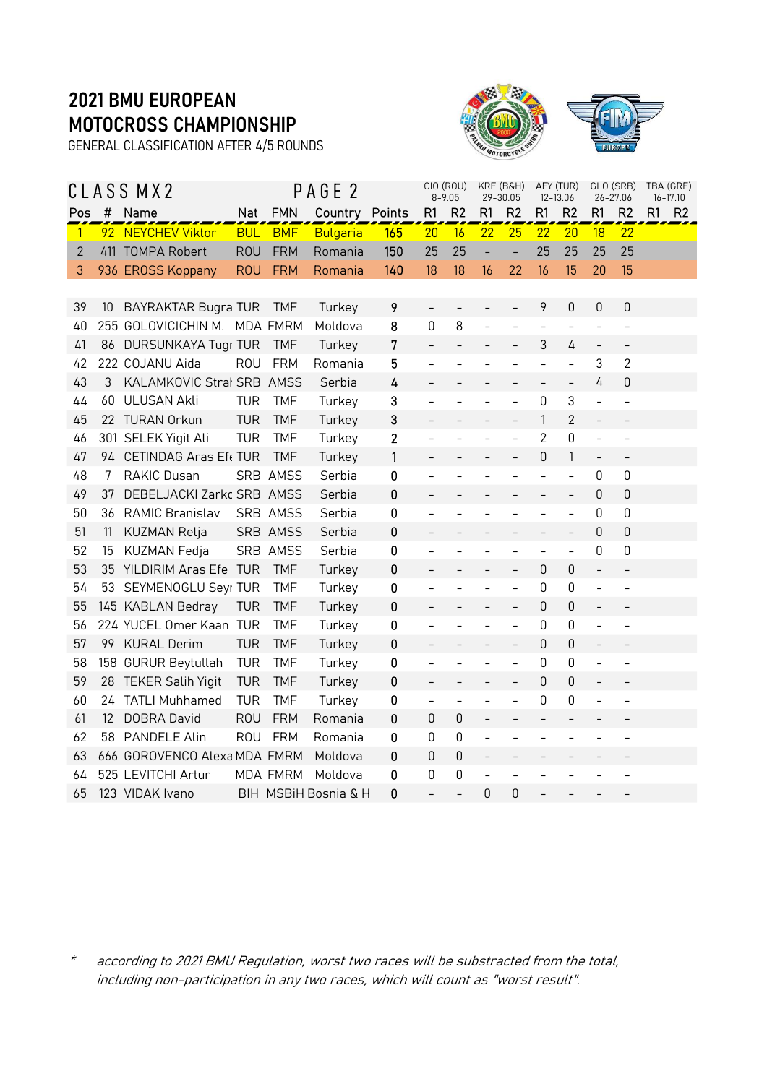GENERAL CLASSIFICATION AFTER 4/5 ROUNDS



|                |    | CLASS MX2                    |            |                 | PAGE <sub>2</sub>    |                |                          | CIO (ROU)<br>$8 - 9.05$  | KRE (B&H)<br>29-30.05    |                          | AFY (TUR)<br>12-13.06    |                          |                          | GLO (SRB)<br>$26 - 27.06$ |    | TBA (GRE)<br>$16 - 17.10$ |
|----------------|----|------------------------------|------------|-----------------|----------------------|----------------|--------------------------|--------------------------|--------------------------|--------------------------|--------------------------|--------------------------|--------------------------|---------------------------|----|---------------------------|
| Pos            | #  | Name                         | <b>Nat</b> | <b>FMN</b>      | Country Points       |                | R1                       | R <sub>2</sub>           | R <sub>1</sub>           | R <sub>2</sub>           | R1                       | R <sub>2</sub>           | R1                       | R <sub>2</sub>            | R1 | R <sub>2</sub>            |
| $\overline{1}$ |    | 92 NEYCHEV Viktor            | <b>BUL</b> | <b>BMF</b>      | <b>Bulgaria</b>      | 165            | 20                       | 16                       | 22                       | 25                       | 22                       | 20                       | 18                       | $\overline{22}$           |    |                           |
| $\overline{2}$ |    | 411 TOMPA Robert             | <b>ROU</b> | <b>FRM</b>      | Romania              | 150            | 25                       | 25                       |                          | $\blacksquare$           | 25                       | 25                       | 25                       | 25                        |    |                           |
| 3              |    | 936 EROSS Koppany            | <b>ROU</b> | <b>FRM</b>      | Romania              | 140            | 18                       | 18                       | 16                       | 22                       | 16                       | 15                       | 20                       | 15                        |    |                           |
|                |    |                              |            |                 |                      |                |                          |                          |                          |                          |                          |                          |                          |                           |    |                           |
| 39             | 10 | <b>BAYRAKTAR Bugra TUR</b>   |            | <b>TMF</b>      | Turkey               | 9              | $\overline{a}$           |                          |                          |                          | 9                        | 0                        | $\boldsymbol{0}$         | $\boldsymbol{0}$          |    |                           |
| 40             |    | 255 GOLOVICICHIN M. MDA FMRM |            |                 | Moldova              | 8              | 0                        | 8                        |                          |                          | $\overline{a}$           |                          |                          | $\overline{a}$            |    |                           |
| 41             |    | 86 DURSUNKAYA Tugr TUR       |            | <b>TMF</b>      | Turkey               | 7              | $\overline{a}$           | $\overline{\phantom{0}}$ |                          | $\overline{\phantom{0}}$ | 3                        | 4                        | $\overline{\phantom{a}}$ | $\overline{\phantom{0}}$  |    |                           |
| 42             |    | 222 COJANU Aida              | <b>ROU</b> | <b>FRM</b>      | Romania              | 5              |                          |                          |                          |                          | $\overline{a}$           | $\overline{a}$           | 3                        | $\overline{2}$            |    |                           |
| 43             | 3  | KALAMKOVIC Stral SRB AMSS    |            |                 | Serbia               | 4              | $\overline{\phantom{0}}$ |                          |                          | -                        | $\overline{\phantom{a}}$ | $\qquad \qquad -$        | 4                        | $\boldsymbol{0}$          |    |                           |
| 44             | 60 | <b>ULUSAN Akli</b>           | <b>TUR</b> | <b>TMF</b>      | Turkey               | 3              |                          |                          |                          |                          | 0                        | 3                        |                          | $\overline{a}$            |    |                           |
| 45             |    | 22 TURAN Orkun               | <b>TUR</b> | <b>TMF</b>      | Turkey               | 3              |                          |                          |                          |                          | 1                        | $\overline{2}$           | $\overline{a}$           |                           |    |                           |
| 46             |    | 301 SELEK Yigit Ali          | <b>TUR</b> | <b>TMF</b>      | Turkey               | $\overline{2}$ |                          |                          |                          |                          | $\overline{2}$           | 0                        | $\frac{1}{2}$            | $\overline{a}$            |    |                           |
| 47             | 94 | CETINDAG Aras Ef  TUR        |            | <b>TMF</b>      | Turkey               | 1              |                          |                          |                          | $\overline{\phantom{0}}$ | $\mathbf 0$              | $\mathbf{1}$             | $\overline{\phantom{a}}$ | $\qquad \qquad -$         |    |                           |
| 48             | 7  | RAKIC Dusan                  |            | SRB AMSS        | Serbia               | $\mathbf 0$    |                          |                          |                          |                          | $\overline{a}$           | $\overline{a}$           | 0                        | 0                         |    |                           |
| 49             | 37 | DEBELJACKI Zarkc SRB AMSS    |            |                 | Serbia               | 0              |                          |                          |                          |                          |                          | $\overline{\phantom{0}}$ | 0                        | $\boldsymbol{0}$          |    |                           |
| 50             | 36 | <b>RAMIC Branislav</b>       |            | SRB AMSS        | Serbia               | 0              |                          |                          |                          |                          |                          | $\overline{a}$           | 0                        | 0                         |    |                           |
| 51             | 11 | KUZMAN Relja                 |            | SRB AMSS        | Serbia               | 0              | $\overline{\phantom{0}}$ | $\overline{\phantom{0}}$ |                          |                          | $\overline{\phantom{a}}$ | $\overline{\phantom{a}}$ | 0                        | $\boldsymbol{0}$          |    |                           |
| 52             | 15 | KUZMAN Fedja                 |            | SRB AMSS        | Serbia               | 0              |                          |                          |                          |                          | $\overline{a}$           | $\overline{a}$           | 0                        | 0                         |    |                           |
| 53             |    | 35 YILDIRIM Aras Efe TUR     |            | <b>TMF</b>      | Turkey               | $\pmb{0}$      |                          |                          |                          |                          | $\overline{0}$           | 0                        | $\overline{a}$           |                           |    |                           |
| 54             |    | 53 SEYMENOGLU Seyr TUR       |            | <b>TMF</b>      | Turkey               | 0              |                          |                          |                          |                          | 0                        | 0                        | $\overline{a}$           |                           |    |                           |
| 55             |    | 145 KABLAN Bedray            | <b>TUR</b> | <b>TMF</b>      | Turkey               | 0              | $\overline{\phantom{0}}$ |                          |                          | $\overline{\phantom{0}}$ | 0                        | 0                        | $\overline{\phantom{0}}$ |                           |    |                           |
| 56             |    | 224 YUCEL Omer Kaan TUR      |            | <b>TMF</b>      | Turkey               | 0              |                          |                          |                          | $\overline{a}$           | 0                        | 0                        |                          | $\overline{a}$            |    |                           |
| 57             | 99 | <b>KURAL Derim</b>           | <b>TUR</b> | <b>TMF</b>      | Turkey               | $\pmb{0}$      |                          |                          |                          | $\overline{a}$           | $\mathbf 0$              | 0                        | $\overline{a}$           |                           |    |                           |
| 58             |    | 158 GURUR Beytullah          | <b>TUR</b> | <b>TMF</b>      | Turkey               | 0              |                          |                          |                          |                          | 0                        | 0                        |                          |                           |    |                           |
| 59             |    | 28 TEKER Salih Yigit         | <b>TUR</b> | <b>TMF</b>      | Turkey               | $\pmb{0}$      | $\overline{\phantom{0}}$ | $\overline{\phantom{a}}$ |                          | $\qquad \qquad -$        | $\theta$                 | 0                        | $\overline{\phantom{0}}$ |                           |    |                           |
| 60             | 24 | <b>TATLI Muhhamed</b>        | <b>TUR</b> | <b>TMF</b>      | Turkey               | 0              | $\overline{a}$           | $\overline{\phantom{a}}$ |                          | $\overline{a}$           | 0                        | 0                        |                          | $\overline{a}$            |    |                           |
| 61             | 12 | <b>DOBRA David</b>           | <b>ROU</b> | <b>FRM</b>      | Romania              | 0              | 0                        | 0                        |                          |                          | $\overline{\phantom{0}}$ |                          |                          |                           |    |                           |
| 62             | 58 | <b>PANDELE Alin</b>          | <b>ROU</b> | <b>FRM</b>      | Romania              | 0              | 0                        | 0                        |                          |                          |                          |                          |                          |                           |    |                           |
| 63             |    | 666 GOROVENCO Alexa MDA FMRM |            |                 | Moldova              | 0              | 0                        | 0                        | $\overline{\phantom{0}}$ |                          |                          |                          |                          |                           |    |                           |
| 64             |    | 525 LEVITCHI Artur           |            | <b>MDA FMRM</b> | Moldova              | 0              | 0                        | 0                        |                          |                          |                          |                          |                          |                           |    |                           |
| 65             |    | 123 VIDAK Ivano              |            |                 | BIH MSBiH Bosnia & H | 0              |                          |                          | 0                        | 0                        |                          |                          |                          |                           |    |                           |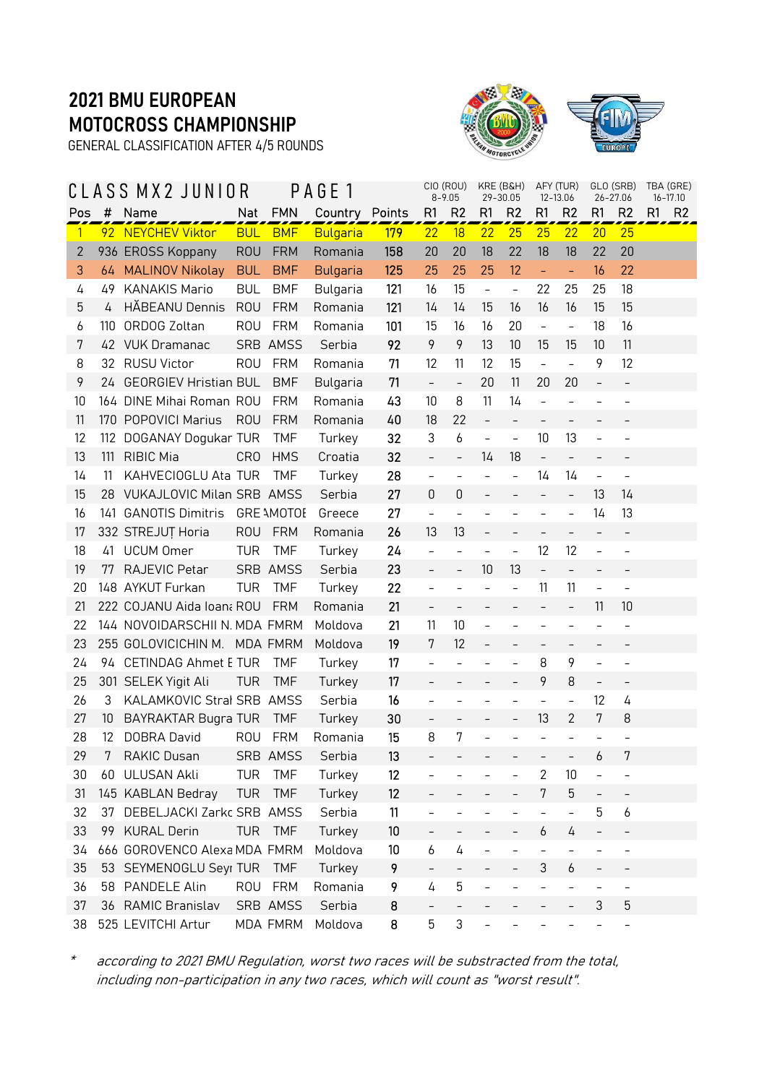GENERAL CLASSIFICATION AFTER 4/5 ROUNDS



|              |                   | CLASS MX2 JUNIOR              |            |                   | PAGE 1          |            |                          | CIO (ROU)<br>$8 - 9.05$   | KRE (B&H)<br>29-30.05    |                          | AFY (TUR)                | 12-13.06                 | GLO (SRB)                | 26-27.06                 | TBA (GRE)<br>$16 - 17.10$ |
|--------------|-------------------|-------------------------------|------------|-------------------|-----------------|------------|--------------------------|---------------------------|--------------------------|--------------------------|--------------------------|--------------------------|--------------------------|--------------------------|---------------------------|
| Pos          | #                 | Name                          | Nat        | <b>FMN</b>        | Country Points  |            | R1                       | R <sub>2</sub>            | R1                       | R <sub>2</sub>           | R1                       | R <sub>2</sub>           | R <sub>1</sub>           | R <sub>2</sub>           | R1<br>R <sub>2</sub>      |
| $\mathbf{1}$ |                   | 92 NEYCHEV Viktor             | <b>BUL</b> | <b>BMF</b>        | <b>Bulgaria</b> | <b>179</b> | 22                       | 18                        | 22                       | 25                       | 25                       | 22                       | 20                       | 25                       |                           |
| 2            |                   | 936 EROSS Koppany             | <b>ROU</b> | <b>FRM</b>        | Romania         | 158        | 20                       | 20                        | 18                       | 22                       | 18                       | 18                       | 22                       | 20                       |                           |
| 3            |                   | 64 MALINOV Nikolay            | <b>BUL</b> | <b>BMF</b>        | <b>Bulgaria</b> | 125        | 25                       | 25                        | 25                       | 12                       | $\Box$                   | $\equiv$                 | 16                       | 22                       |                           |
| 4            | 49                | <b>KANAKIS Mario</b>          | <b>BUL</b> | <b>BMF</b>        | Bulgaria        | 121        | 16                       | 15                        | $\blacksquare$           | $\equiv$                 | 22                       | 25                       | 25                       | 18                       |                           |
| 5            | 4                 | HĂBEANU Dennis                | <b>ROU</b> | <b>FRM</b>        | Romania         | 121        | 14                       | 14                        | 15                       | 16                       | 16                       | 16                       | 15                       | 15                       |                           |
| 6            | 110               | ORDOG Zoltan                  | <b>ROU</b> | <b>FRM</b>        | Romania         | 101        | 15                       | 16                        | 16                       | 20                       | $\equiv$                 | $\overline{\phantom{a}}$ | 18                       | 16                       |                           |
| 7            |                   | 42 VUK Dramanac               |            | SRB AMSS          | Serbia          | 92         | 9                        | 9                         | 13                       | 10                       | 15                       | 15                       | 10                       | 11                       |                           |
| 8            |                   | 32 RUSU Victor                | <b>ROU</b> | <b>FRM</b>        | Romania         | 71         | 12                       | 11                        | 12                       | 15                       | $\overline{\phantom{0}}$ | $\overline{\phantom{a}}$ | 9                        | 12                       |                           |
| 9            | 24                | <b>GEORGIEV Hristian BUL</b>  |            | <b>BMF</b>        | Bulgaria        | 71         | $\overline{a}$           | $\frac{1}{2}$             | 20                       | 11                       | 20                       | 20                       | $\overline{a}$           | $\overline{\phantom{a}}$ |                           |
| 10           |                   | 164 DINE Mihai Roman ROU      |            | <b>FRM</b>        | Romania         | 43         | 10                       | 8                         | 11                       | 14                       | $\overline{a}$           |                          |                          | -                        |                           |
| 11           |                   | 170 POPOVICI Marius           | <b>ROU</b> | <b>FRM</b>        | Romania         | 40         | 18                       | 22                        | $\overline{\phantom{a}}$ | $\overline{a}$           | $\overline{a}$           | $\overline{\phantom{a}}$ |                          |                          |                           |
| 12           |                   | 112 DOGANAY Dogukar TUR       |            | <b>TMF</b>        | Turkey          | 32         | 3                        | 6                         | $\overline{\phantom{a}}$ | $\equiv$                 | 10                       | 13                       |                          |                          |                           |
| 13           | 111               | <b>RIBIC Mia</b>              | <b>CRO</b> | <b>HMS</b>        | Croatia         | 32         | $\overline{\phantom{0}}$ | $\qquad \qquad -$         | 14                       | 18                       | $\qquad \qquad -$        | $\qquad \qquad -$        | $\overline{\phantom{0}}$ | $\qquad \qquad -$        |                           |
| 14           | 11                | KAHVECIOGLU Ata TUR           |            | <b>TMF</b>        | Turkey          | 28         | $\overline{\phantom{0}}$ | $\bar{\phantom{a}}$       |                          | $\bar{\phantom{a}}$      | 14                       | 14                       | $\overline{\phantom{0}}$ | $\overline{a}$           |                           |
| 15           |                   | 28 VUKAJLOVIC Milan SRB AMSS  |            |                   | Serbia          | 27         | 0                        | $\mathbf 0$               | $\overline{\phantom{a}}$ | $\qquad \qquad -$        | $\qquad \qquad -$        | $\overline{\phantom{a}}$ | 13                       | 14                       |                           |
| 16           |                   | 141 GANOTIS Dimitris          |            | <b>GRE AMOTOE</b> | Greece          | 27         | $\overline{a}$           |                           |                          |                          | $\overline{\phantom{0}}$ | $\qquad \qquad -$        | 14                       | 13                       |                           |
| 17           |                   | 332 STREJUT Horia             | <b>ROU</b> | <b>FRM</b>        | Romania         | 26         | 13                       | 13                        |                          |                          |                          |                          | $\overline{\phantom{0}}$ | $\qquad \qquad -$        |                           |
| 18           | 41                | <b>UCUM Omer</b>              | <b>TUR</b> | <b>TMF</b>        | Turkey          | 24         | $\overline{a}$           | $\overline{a}$            | $\overline{\phantom{a}}$ | $\equiv$                 | 12                       | 12                       | $\overline{a}$           | $\overline{a}$           |                           |
| 19           | 77                | RAJEVIC Petar                 |            | SRB AMSS          | Serbia          | 23         | $\overline{\phantom{0}}$ | $\bar{\phantom{a}}$       | 10                       | 13                       | $\qquad \qquad -$        | $\overline{\phantom{a}}$ |                          |                          |                           |
| 20           |                   | 148 AYKUT Furkan              | <b>TUR</b> | <b>TMF</b>        | Turkey          | 22         | $\overline{\phantom{0}}$ | $\qquad \qquad -$         | $\overline{\phantom{a}}$ | $\overline{\phantom{0}}$ | 11                       | 11                       | $\overline{\phantom{a}}$ | $\overline{\phantom{a}}$ |                           |
| 21           |                   | 222 COJANU Aida Ioana ROU     |            | <b>FRM</b>        | Romania         | 21         | $\overline{a}$           |                           |                          |                          |                          |                          | 11                       | 10                       |                           |
| 22           |                   | 144 NOVOIDARSCHII N. MDA FMRM |            |                   | Moldova         | 21         | 11                       | 10                        | $\overline{\phantom{a}}$ |                          | $\overline{\phantom{0}}$ |                          |                          | $\overline{a}$           |                           |
| 23           |                   | 255 GOLOVICICHIN M. MDA FMRM  |            |                   | Moldova         | 19         | 7                        | 12                        | $\qquad \qquad -$        | $\overline{a}$           | $\overline{\phantom{0}}$ | $\qquad \qquad -$        | $\overline{a}$           |                          |                           |
| 24           |                   | 94 CETINDAG Ahmet E TUR       |            | <b>TMF</b>        | Turkey          | 17         | $\overline{a}$           |                           |                          |                          | 8                        | 9                        | $\overline{a}$           |                          |                           |
| 25           |                   | 301 SELEK Yigit Ali           | <b>TUR</b> | <b>TMF</b>        | Turkey          | 17         | $\overline{\phantom{0}}$ |                           |                          | $\overline{\phantom{0}}$ | 9                        | 8                        | $\overline{\phantom{0}}$ | $\qquad \qquad -$        |                           |
| 26           | 3                 | KALAMKOVIC Stral SRB AMSS     |            |                   | Serbia          | 16         | $\overline{\phantom{0}}$ |                           |                          |                          | $\overline{a}$           | $\overline{\phantom{a}}$ | 12                       | 4                        |                           |
| 27           | 10                | <b>BAYRAKTAR Bugra TUR</b>    |            | <b>TMF</b>        | Turkey          | 30         | $\overline{\phantom{0}}$ | $\overline{\phantom{0}}$  | $\overline{\phantom{a}}$ | $\qquad \qquad -$        | 13                       | $\overline{2}$           | 7                        | 8                        |                           |
| 28           | $12 \overline{ }$ | DOBRA David                   | <b>ROU</b> | <b>FRM</b>        | Romania         | 15         | 8                        | 7                         |                          |                          |                          |                          |                          |                          |                           |
| 29           |                   | RAKIC Dusan                   |            | SRB AMSS          | Serbia          | 13         |                          |                           |                          | -                        | -                        |                          | 6                        | 7                        |                           |
| 30           |                   | 60 ULUSAN Akli                | <b>TUR</b> | <b>TMF</b>        | Turkey          | 12         |                          |                           |                          |                          | $\overline{2}$           | 10                       |                          | $\overline{\phantom{0}}$ |                           |
| 31           |                   | 145 KABLAN Bedray             | <b>TUR</b> | <b>TMF</b>        | Turkey          | 12         |                          |                           |                          |                          | 7                        | 5                        | $\overline{\phantom{0}}$ | $\overline{\phantom{0}}$ |                           |
| 32           | 37                | DEBELJACKI Zarkc SRB AMSS     |            |                   | Serbia          | 11         | $\overline{\phantom{0}}$ | $\overline{\phantom{0}}$  |                          |                          | $\overline{a}$           | $\overline{\phantom{a}}$ | 5                        | 6                        |                           |
| 33           |                   | 99 KURAL Derin                | <b>TUR</b> | <b>TMF</b>        | Turkey          | 10         |                          |                           |                          |                          | 6                        | 4                        |                          |                          |                           |
| 34           |                   | 666 GOROVENCO Alexa MDA FMRM  |            |                   | Moldova         | 10         | 6                        | 4                         |                          | $\overline{\phantom{0}}$ | $\overline{a}$           | $\overline{\phantom{a}}$ | $\overline{\phantom{0}}$ | $\overline{\phantom{0}}$ |                           |
| 35           | 53                | SEYMENOGLU Seyr TUR           |            | <b>TMF</b>        | Turkey          | 9          |                          | $\bar{ }$                 |                          |                          | 3                        | 6                        | $\qquad \qquad -$        |                          |                           |
| 36           |                   | 58 PANDELE Alin               | <b>ROU</b> | <b>FRM</b>        | Romania         | 9          | 4                        | 5                         |                          |                          |                          |                          |                          | $\overline{a}$           |                           |
| 37           |                   | 36 RAMIC Branislav            |            | SRB AMSS          | Serbia          | 8          | $\overline{\phantom{0}}$ | $\overline{\phantom{0}}$  |                          |                          |                          |                          | 3                        | 5                        |                           |
| 38           |                   | 525 LEVITCHI Artur            |            | MDA FMRM          | Moldova         | 8          | 5                        | $\ensuremath{\mathsf{3}}$ |                          |                          |                          |                          |                          |                          |                           |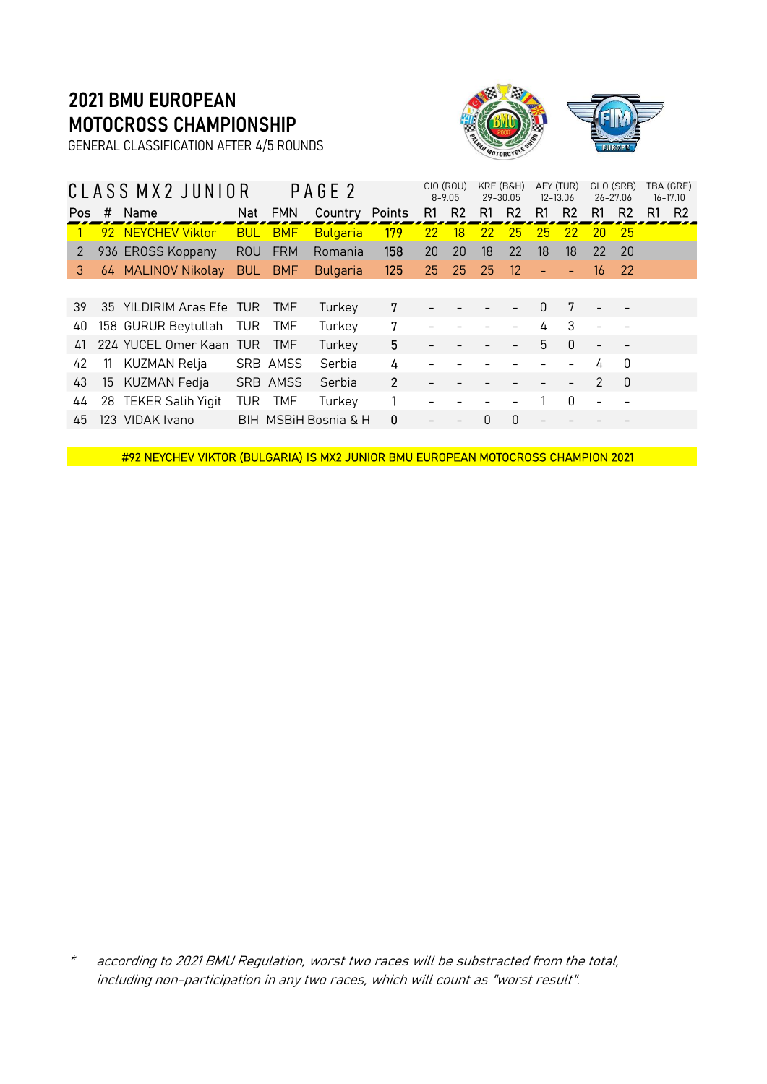GENERAL CLASSIFICATION AFTER 4/5 ROUNDS



|     | CLASS MX2 JUNIOR<br>Name<br># |                          |            |            | PAGE <sub>2</sub>    |                |                | CIO (ROU)<br>$8 - 9.05$ |    | KRE (B&H)<br>29-30.05 |                          | AFY (TUR)<br>12-13.06 |               | GLO (SRB)<br>26-27.06 |    | TBA (GRE)<br>$16 - 17.10$ |
|-----|-------------------------------|--------------------------|------------|------------|----------------------|----------------|----------------|-------------------------|----|-----------------------|--------------------------|-----------------------|---------------|-----------------------|----|---------------------------|
| Pos |                               |                          | Nat        | <b>FMN</b> | Country              | Points         | R <sub>1</sub> | R <sub>2</sub>          | R1 | R <sub>2</sub>        | R1                       | R <sub>2</sub>        | R1            | R <sub>2</sub>        | R1 | R <sub>2</sub>            |
|     |                               | 92 NEYCHEV Viktor        | <b>BUL</b> | <b>BMF</b> | Bulgaria             | 179            | 22             | 18                      | 22 | 25                    | 25                       | 22                    | 20            | 25                    |    |                           |
| 2   |                               | 936 EROSS Koppany        | <b>ROU</b> | <b>FRM</b> | Romania              | 158            | 20             | 20                      | 18 | 22                    | 18                       | 18                    | 22            | -20                   |    |                           |
| 3   |                               | 64 MALINOV Nikolay       | <b>BUL</b> | <b>BMF</b> | <b>Bulgaria</b>      | 125            | 25             | 25                      | 25 | 12                    | ۳                        |                       | 16            | -22                   |    |                           |
|     |                               |                          |            |            |                      |                |                |                         |    |                       |                          |                       |               |                       |    |                           |
| 39  |                               | 35 YILDIRIM Aras Efe TUR |            | <b>TMF</b> | Turkey               | 7              |                |                         |    |                       | 0                        | 7                     |               |                       |    |                           |
| 40  |                               | 158 GURUR Beytullah      | TUR        | <b>TMF</b> | Turkey               | 7              |                |                         |    |                       | 4                        | 3                     |               |                       |    |                           |
| 41  |                               | 224 YUCEL Omer Kaan TUR  |            | <b>TMF</b> | Turkey               | 5              |                |                         |    |                       | 5                        | $\mathbf{0}$          |               |                       |    |                           |
| 42  | -11                           | KUZMAN Relja             |            | SRB AMSS   | Serbia               | 4              |                |                         |    |                       |                          |                       | 4             | $\Omega$              |    |                           |
| 43  | 15                            | KUZMAN Fedja             |            | SRB AMSS   | Serbia               | $\overline{2}$ |                |                         |    |                       |                          |                       | $\mathcal{P}$ | $\Omega$              |    |                           |
| 44  |                               | 28 TEKER Salih Yigit     | TUR        | <b>TMF</b> | Turkey               |                |                |                         |    |                       |                          | $\Omega$              |               |                       |    |                           |
| 45  |                               | 123 VIDAK Ivano          |            |            | BIH MSBIH Bosnia & H | 0              |                |                         | 0  | 0                     | $\overline{\phantom{a}}$ |                       |               |                       |    |                           |
|     |                               |                          |            |            |                      |                |                |                         |    |                       |                          |                       |               |                       |    |                           |

#92 NEYCHEV VIKTOR (BULGARIA) IS MX2 JUNIOR BMU EUROPEAN MOTOCROSS CHAMPION 2021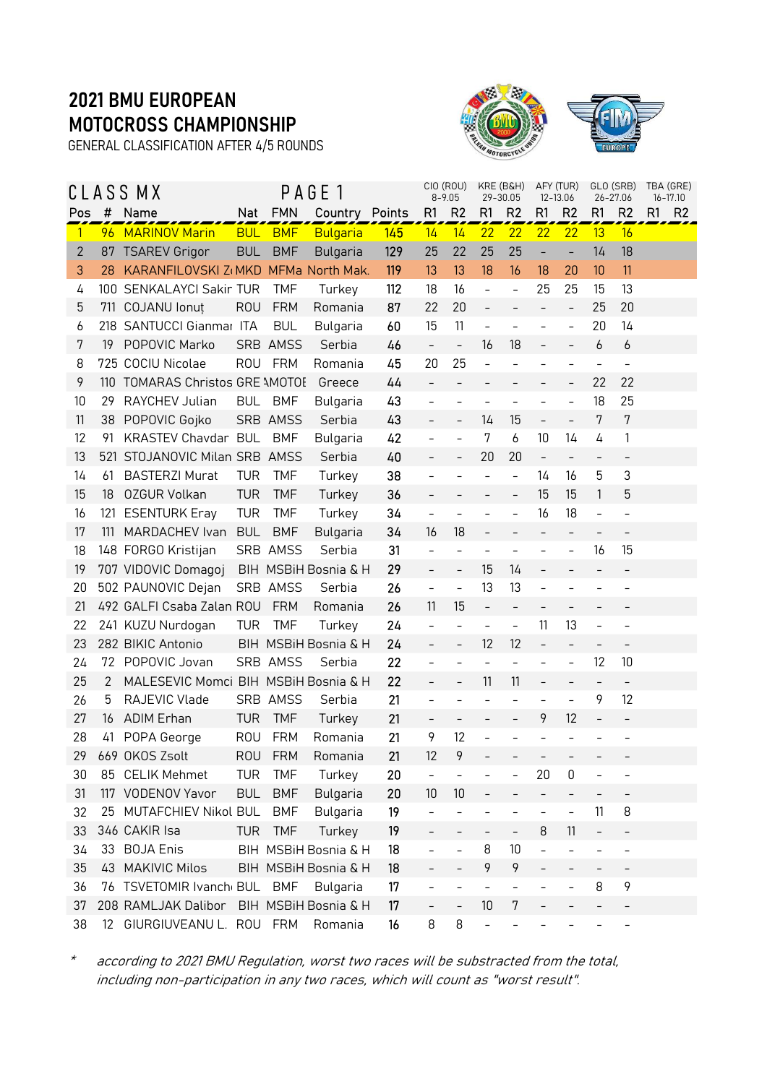GENERAL CLASSIFICATION AFTER 4/5 ROUNDS



|              |                  | CLASS MX                             |            |            | PAGE 1               |     |                          | CIO (ROU)<br>$8 - 9.05$  |                          | KRE (B&H)<br>29-30.05    |                          | AFY (TUR)<br>12-13.06    |                          | GLO (SRB)<br>26-27.06    | TBA (GRE) | $16 - 17.10$   |
|--------------|------------------|--------------------------------------|------------|------------|----------------------|-----|--------------------------|--------------------------|--------------------------|--------------------------|--------------------------|--------------------------|--------------------------|--------------------------|-----------|----------------|
| Pos          | #                | Name                                 | Nat        | <b>FMN</b> | Country Points       |     | R1                       | R <sub>2</sub>           | R1                       | R <sub>2</sub>           | R1                       | R <sub>2</sub>           | R1                       | R <sub>2</sub>           | R1        | R <sub>2</sub> |
| $\mathbf{1}$ |                  | 96 MARINOV Marin                     | <b>BUL</b> | <b>BMF</b> | <b>Bulgaria</b>      | 145 | 14                       | 14                       | 22                       | 22                       | 22                       | 22                       | 13                       | 16                       |           |                |
| $\mathbf{2}$ | 87               | <b>TSAREV Grigor</b>                 | <b>BUL</b> | <b>BMF</b> | <b>Bulgaria</b>      | 129 | 25                       | 22                       | 25                       | 25                       | ÷                        | $\overline{\phantom{a}}$ | 14                       | 18                       |           |                |
| 3            | 28               | KARANFILOVSKI Z(MKD MFMa North Mak.  |            |            |                      | 119 | 13                       | 13                       | 18                       | 16                       | 18                       | 20                       | 10                       | 11                       |           |                |
| 4            |                  | 100 SENKALAYCI Sakir TUR             |            | <b>TMF</b> | Turkey               | 112 | 18                       | 16                       | $\overline{\phantom{a}}$ | $\frac{1}{2}$            | 25                       | 25                       | 15                       | 13                       |           |                |
| 5            | 711              | <b>COJANU</b> lonut                  | <b>ROU</b> | <b>FRM</b> | Romania              | 87  | 22                       | 20                       | $\frac{1}{2}$            | $\overline{a}$           | $\bar{ }$                | $\overline{\phantom{a}}$ | 25                       | 20                       |           |                |
| 6            |                  | 218 SANTUCCI Gianmar ITA             |            | <b>BUL</b> | Bulgaria             | 60  | 15                       | 11                       | $\overline{\phantom{a}}$ | $\overline{a}$           |                          | $\overline{\phantom{a}}$ | 20                       | 14                       |           |                |
| 7            | 19               | POPOVIC Marko                        |            | SRB AMSS   | Serbia               | 46  | $\bar{\phantom{a}}$      | $\blacksquare$           | 16                       | 18                       | $\overline{\phantom{0}}$ | $\qquad \qquad -$        | 6                        | 6                        |           |                |
| 8            |                  | 725 COCIU Nicolae                    | ROU        | FRM        | Romania              | 45  | 20                       | 25                       | $\overline{a}$           |                          |                          |                          | $\overline{\phantom{0}}$ | -                        |           |                |
| 9            |                  | 110 TOMARAS Christos GRE \MOTOE      |            |            | Greece               | 44  | $\overline{\phantom{a}}$ | $\overline{\phantom{a}}$ | $\qquad \qquad -$        | $\overline{\phantom{0}}$ | $\overline{\phantom{0}}$ | $\overline{\phantom{a}}$ | 22                       | 22                       |           |                |
| 10           | 29               | RAYCHEV Julian                       | BUL        | <b>BMF</b> | Bulgaria             | 43  | $\overline{a}$           |                          |                          |                          |                          |                          | 18                       | 25                       |           |                |
| 11           |                  | 38 POPOVIC Gojko                     |            | SRB AMSS   | Serbia               | 43  | $\overline{\phantom{0}}$ | $\overline{\phantom{a}}$ | 14                       | 15                       | $\bar{ }$                | $\equiv$                 | 7                        | 7                        |           |                |
| 12           | 91               | KRASTEV Chavdar BUL                  |            | <b>BMF</b> | Bulgaria             | 42  | $\overline{a}$           | $\overline{a}$           | 7                        | 6                        | 10                       | 14                       | 4                        | $\mathbf{1}$             |           |                |
| 13           | 521              | STOJANOVIC Milan SRB AMSS            |            |            | Serbia               | 40  | $\equiv$                 | $\overline{\phantom{a}}$ | 20                       | 20                       | $\overline{\phantom{0}}$ | $\overline{\phantom{a}}$ | -                        | $\overline{\phantom{0}}$ |           |                |
| 14           | 61               | <b>BASTERZI Murat</b>                | <b>TUR</b> | <b>TMF</b> | Turkey               | 38  | $\qquad \qquad -$        | $\overline{\phantom{a}}$ | $\overline{\phantom{a}}$ | $\bar{\phantom{a}}$      | 14                       | 16                       | 5                        | 3                        |           |                |
| 15           | 18               | <b>OZGUR Volkan</b>                  | <b>TUR</b> | <b>TMF</b> | Turkey               | 36  |                          |                          |                          |                          | 15                       | 15                       | 1                        | 5                        |           |                |
| 16           | 121              | <b>ESENTURK Eray</b>                 | <b>TUR</b> | <b>TMF</b> | Turkey               | 34  | $\frac{1}{2}$            | $\equiv$                 | $\overline{\phantom{0}}$ | $\overline{a}$           | 16                       | 18                       | $\overline{a}$           | $\overline{\phantom{a}}$ |           |                |
| 17           | 111              | MARDACHEV Ivan                       | <b>BUL</b> | <b>BMF</b> | Bulgaria             | 34  | 16                       | 18                       | $\qquad \qquad -$        | $\bar{ }$                | $\bar{ }$                | $\qquad \qquad -$        | $\overline{a}$           | $\overline{\phantom{a}}$ |           |                |
| 18           |                  | 148 FORGO Kristijan                  |            | SRB AMSS   | Serbia               | 31  | $\overline{\phantom{0}}$ | $\overline{\phantom{a}}$ |                          | $\overline{a}$           | $\overline{\phantom{0}}$ | $\qquad \qquad -$        | 16                       | 15                       |           |                |
| 19           |                  | 707 VIDOVIC Domagoj                  |            |            | BIH MSBiH Bosnia & H | 29  | $\bar{a}$                | $\bar{ }$                | 15                       | 14                       | $\overline{\phantom{0}}$ | $\overline{\phantom{a}}$ |                          | $\overline{\phantom{a}}$ |           |                |
| 20           |                  | 502 PAUNOVIC Dejan                   |            | SRB AMSS   | Serbia               | 26  | $\bar{ }$                | $\equiv$                 | 13                       | 13                       | $\overline{a}$           |                          |                          |                          |           |                |
| 21           |                  | 492 GALFI Csaba Zalan ROU            |            | <b>FRM</b> | Romania              | 26  | 11                       | 15                       | $\qquad \qquad -$        | $\overline{\phantom{0}}$ | $\overline{\phantom{0}}$ |                          |                          |                          |           |                |
| 22           |                  | 241 KUZU Nurdogan                    | TUR        | <b>TMF</b> | Turkey               | 24  | $\overline{\phantom{0}}$ |                          |                          | $\overline{\phantom{0}}$ | 11                       | 13                       |                          | -                        |           |                |
| 23           |                  | 282 BIKIC Antonio                    |            |            | BIH MSBiH Bosnia & H | 24  | $\overline{\phantom{a}}$ | $\overline{\phantom{a}}$ | 12                       | 12                       | $\overline{\phantom{0}}$ | $\overline{\phantom{a}}$ | $\qquad \qquad -$        | $\overline{\phantom{a}}$ |           |                |
| 24           | 72               | POPOVIC Jovan                        |            | SRB AMSS   | Serbia               | 22  |                          | $\equiv$                 | $\overline{\phantom{a}}$ | $\overline{a}$           | $\overline{a}$           | $\overline{\phantom{a}}$ | 12                       | 10                       |           |                |
| 25           | 2                | MALESEVIC Momci BIH MSBIH Bosnia & H |            |            |                      | 22  |                          | $\bar{ }$                | 11                       | 11                       | $\qquad \qquad -$        |                          | $\qquad \qquad -$        | $\overline{\phantom{a}}$ |           |                |
| 26           | 5                | RAJEVIC Vlade                        |            | SRB AMSS   | Serbia               | 21  | $\qquad \qquad -$        | $\overline{\phantom{a}}$ | $\overline{a}$           | $\overline{\phantom{0}}$ | $\qquad \qquad -$        | $\overline{\phantom{a}}$ | 9                        | 12                       |           |                |
| 27           | 16               | <b>ADIM Erhan</b>                    | <b>TUR</b> | <b>TMF</b> | Turkey               | 21  | $\overline{\phantom{a}}$ |                          | $\overline{\phantom{0}}$ | $\qquad \qquad -$        | 9                        | 12                       | $\overline{\phantom{0}}$ |                          |           |                |
| 28           | 41               | POPA George                          | <b>ROU</b> | <b>FRM</b> | Romania              | 21  | 9                        | 12                       |                          |                          |                          |                          |                          |                          |           |                |
| 29           |                  | 669 OKOS Zsolt                       |            | ROU FRM    | Romania              | 21  | 12                       | 9                        |                          |                          |                          |                          |                          |                          |           |                |
| 30           |                  | 85 CELIK Mehmet                      | <b>TUR</b> | <b>TMF</b> | Turkey               | 20  | $\overline{\phantom{a}}$ |                          |                          |                          | 20                       | 0                        |                          |                          |           |                |
| 31           |                  | 117 VODENOV Yavor                    | <b>BUL</b> | <b>BMF</b> | Bulgaria             | 20  | 10                       | 10                       | $\overline{\phantom{0}}$ |                          | $\overline{a}$           |                          |                          |                          |           |                |
| 32           | 25               | MUTAFCHIEV Nikol BUL                 |            | <b>BMF</b> | Bulgaria             | 19  |                          |                          |                          |                          | $\overline{a}$           | $\overline{\phantom{0}}$ | 11                       | 8                        |           |                |
| 33           |                  | 346 CAKIR Isa                        | <b>TUR</b> | <b>TMF</b> | Turkey               | 19  |                          |                          |                          | $\overline{\phantom{0}}$ | 8                        | 11                       | $\overline{\phantom{0}}$ | -                        |           |                |
| 34           |                  | 33 BOJA Enis                         |            |            | BIH MSBIH Bosnia & H | 18  |                          | $\overline{a}$           | 8                        | 10                       | $\overline{a}$           |                          |                          |                          |           |                |
| 35           |                  | 43 MAKIVIC Milos                     |            |            | BIH MSBiH Bosnia & H | 18  |                          | $\bar{ }$                | 9                        | 9                        |                          |                          |                          |                          |           |                |
| 36           |                  | 76 TSVETOMIR Ivanch BUL BMF          |            |            | Bulgaria             | 17  |                          | $\overline{a}$           | $\overline{a}$           |                          |                          |                          | 8                        | 9                        |           |                |
| 37           |                  | 208 RAMLJAK Dalibor                  |            |            | BIH MSBIH Bosnia & H | 17  |                          | $\qquad \qquad -$        | 10                       | 7                        |                          |                          |                          |                          |           |                |
| 38           | 12 <sup>12</sup> | GIURGIUVEANU L. ROU                  |            | FRM        | Romania              | 16  | 8                        | 8                        | $\overline{\phantom{0}}$ |                          |                          |                          |                          |                          |           |                |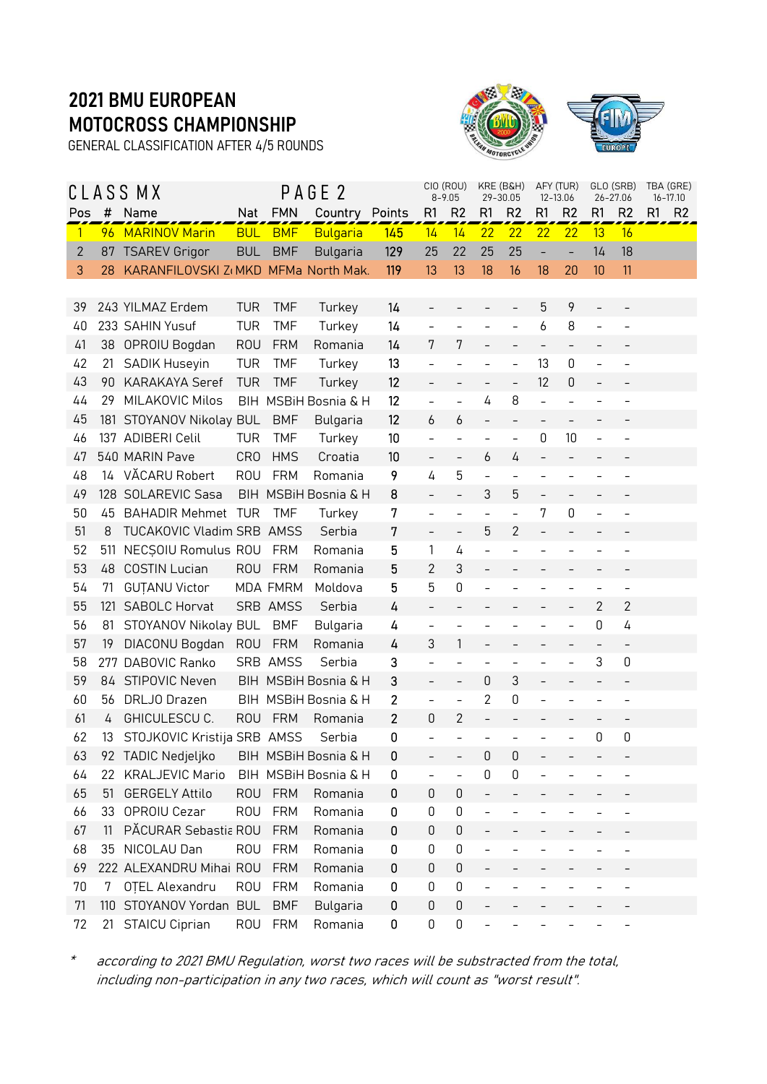GENERAL CLASSIFICATION AFTER 4/5 ROUNDS



| Pos | #               | CLASS MX<br>Name                    | Nat             | <b>FMN</b>               | PAGE <sub>2</sub><br>Country Points |     | R1                       | CIO (ROU)<br>$8 - 9.05$<br>R <sub>2</sub> | KRE (B&H)<br>R1          | 29-30.05<br>R <sub>2</sub>    | R1                       | AFY (TUR)<br>12-13.06<br>R <sub>2</sub> | R <sub>1</sub>           | GLO (SRB)<br>26-27.06<br>R <sub>2</sub> | R <sub>1</sub> | TBA (GRE)<br>$16 - 17.10$<br>R <sub>2</sub> |
|-----|-----------------|-------------------------------------|-----------------|--------------------------|-------------------------------------|-----|--------------------------|-------------------------------------------|--------------------------|-------------------------------|--------------------------|-----------------------------------------|--------------------------|-----------------------------------------|----------------|---------------------------------------------|
|     |                 |                                     |                 |                          |                                     |     |                          | 14                                        |                          |                               |                          |                                         |                          | 16                                      |                |                                             |
| 1   | 96 <sub>2</sub> | <b>MARINOV Marin</b>                | <b>BUL</b>      | <b>BMF</b><br><b>BMF</b> | <b>Bulgaria</b>                     | 145 | 14<br>25                 | 22                                        | 22<br>25                 | 22<br>25                      | 22                       | 22                                      | 13                       |                                         |                |                                             |
| 2   | 87              | <b>TSAREV Grigor</b>                | <b>BUL</b>      |                          | <b>Bulgaria</b>                     | 129 | 13                       | 13                                        | 18                       | 16                            | 18                       | -                                       | 14                       | 18                                      |                |                                             |
| 3   | 28              | KARANFILOVSKI Z(MKD MFMa North Mak. |                 |                          |                                     | 119 |                          |                                           |                          |                               |                          | 20                                      | 10                       | 11                                      |                |                                             |
| 39  |                 | 243 YILMAZ Erdem                    | <b>TUR</b>      | <b>TMF</b>               | Turkey                              | 14  |                          |                                           |                          |                               | 5                        | 9                                       | $\overline{\phantom{a}}$ |                                         |                |                                             |
| 40  |                 | 233 SAHIN Yusuf                     | <b>TUR</b>      | <b>TMF</b>               | Turkey                              | 14  |                          | $\overline{a}$                            |                          | $\overline{a}$                | 6                        | 8                                       | $\overline{a}$           |                                         |                |                                             |
| 41  | 38              | OPROIU Bogdan                       | <b>ROU</b>      | <b>FRM</b>               | Romania                             | 14  | 7                        | 7                                         |                          |                               | $\overline{\phantom{0}}$ | $\overline{\phantom{0}}$                |                          |                                         |                |                                             |
| 42  | 21              | SADIK Huseyin                       | <b>TUR</b>      | <b>TMF</b>               |                                     | 13  |                          |                                           |                          | $\overline{a}$                | 13                       | $\mathbf 0$                             | $\overline{\phantom{0}}$ |                                         |                |                                             |
|     |                 |                                     |                 |                          | Turkey                              |     |                          |                                           |                          |                               |                          |                                         |                          | $\overline{\phantom{a}}$                |                |                                             |
| 43  | 90              | <b>KARAKAYA Seref</b>               | <b>TUR</b>      | <b>TMF</b>               | Turkey                              | 12  |                          |                                           |                          | $\overline{\phantom{0}}$<br>8 | 12                       | 0                                       |                          |                                         |                |                                             |
| 44  | 29              | MILAKOVIC Milos                     |                 |                          | BIH MSBIH Bosnia & H                | 12  | $\overline{\phantom{0}}$ | $\overline{\phantom{0}}$                  | 4                        |                               | $\overline{a}$           | $\overline{\phantom{0}}$                |                          |                                         |                |                                             |
| 45  |                 | 181 STOYANOV Nikolay BUL            |                 | <b>BMF</b>               | Bulgaria                            | 12  | 6                        | 6                                         | $\overline{a}$           |                               |                          |                                         |                          |                                         |                |                                             |
| 46  |                 | 137 ADIBERI Celil                   | TUR             | <b>TMF</b>               | Turkey                              | 10  | $\overline{a}$           | $\overline{a}$                            | $\overline{\phantom{0}}$ | $\overline{a}$                | 0                        | 10                                      | $\overline{a}$           |                                         |                |                                             |
| 47  |                 | 540 MARIN Pave                      | CR <sub>0</sub> | <b>HMS</b>               | Croatia                             | 10  | $\overline{\phantom{0}}$ | $\overline{\phantom{0}}$                  | 6                        | 4                             | $\overline{\phantom{0}}$ |                                         |                          |                                         |                |                                             |
| 48  |                 | 14 VĂCARU Robert                    | <b>ROU</b>      | <b>FRM</b>               | Romania                             | 9   | 4                        | 5                                         | $\equiv$                 | $\overline{\phantom{0}}$      |                          |                                         |                          |                                         |                |                                             |
| 49  |                 | 128 SOLAREVIC Sasa                  |                 |                          | BIH MSBiH Bosnia & H                | 8   | $\overline{\phantom{0}}$ | $\overline{\phantom{0}}$                  | 3                        | 5                             | $\overline{\phantom{0}}$ | $\overline{\phantom{0}}$                |                          |                                         |                |                                             |
| 50  | 45              | <b>BAHADIR Mehmet</b>               | <b>TUR</b>      | <b>TMF</b>               | Turkey                              | 7   |                          | $\overline{\phantom{0}}$                  | $\overline{\phantom{0}}$ | $\overline{\phantom{a}}$      | 7                        | 0                                       |                          |                                         |                |                                             |
| 51  | 8               | TUCAKOVIC Vladim SRB AMSS           |                 |                          | Serbia                              | 7   | $\overline{\phantom{0}}$ | $\overline{a}$                            | 5                        | $\overline{2}$                | $\overline{\phantom{0}}$ | $\overline{a}$                          |                          | $\overline{\phantom{a}}$                |                |                                             |
| 52  | 511             | NECȘOIU Romulus ROU                 |                 | <b>FRM</b>               | Romania                             | 5   | 1                        | 4                                         |                          |                               |                          |                                         |                          |                                         |                |                                             |
| 53  | 48              | <b>COSTIN Lucian</b>                | <b>ROU</b>      | <b>FRM</b>               | Romania                             | 5   | 2                        | 3                                         |                          |                               |                          |                                         |                          |                                         |                |                                             |
| 54  | 71              | <b>GUTANU Victor</b>                |                 | MDA FMRM                 | Moldova                             | 5   | 5                        | 0                                         |                          |                               |                          |                                         |                          | $\overline{\phantom{a}}$                |                |                                             |
| 55  | 121             | <b>SABOLC Horvat</b>                |                 | SRB AMSS                 | Serbia                              | 4   | $\overline{\phantom{0}}$ | $\overline{\phantom{0}}$                  |                          |                               |                          | $\overline{\phantom{0}}$                | 2                        | 2                                       |                |                                             |
| 56  | 81              | STOYANOV Nikolay BUL                |                 | <b>BMF</b>               | Bulgaria                            | 4   | $\overline{\phantom{0}}$ | $\overline{\phantom{0}}$                  |                          |                               |                          |                                         | 0                        | 4                                       |                |                                             |
| 57  | 19              | DIACONU Bogdan                      | <b>ROU</b>      | <b>FRM</b>               | Romania                             | 4   | 3                        | 1                                         |                          |                               |                          |                                         |                          | $\overline{\phantom{a}}$                |                |                                             |
| 58  | 277             | DABOVIC Ranko                       |                 | <b>SRB AMSS</b>          | Serbia                              | 3   |                          | $\overline{\phantom{0}}$                  |                          |                               |                          |                                         | 3                        | 0                                       |                |                                             |
| 59  | 84              | <b>STIPOVIC Neven</b>               |                 |                          | BIH MSBiH Bosnia & H                | 3   | $\overline{a}$           | $\overline{a}$                            | 0                        | 3                             | $\frac{1}{2}$            | $\overline{a}$                          |                          | $\bar{\phantom{a}}$                     |                |                                             |
| 60  | 56              | DRLJO Drazen                        |                 |                          | BIH MSBiH Bosnia & H                | 2   | $\overline{\phantom{0}}$ | $\overline{a}$                            | 2                        | 0                             |                          |                                         |                          |                                         |                |                                             |
| 61  | 4               | GHICULESCU C.                       | <b>ROU</b>      | <b>FRM</b>               | Romania                             | 2   | 0                        | 2                                         | $\qquad \qquad -$        |                               |                          |                                         |                          | $\overline{\phantom{0}}$                |                |                                             |
| 62  | 13              | STOJKOVIC Kristija SRB AMSS         |                 |                          | Serbia                              | 0   |                          |                                           |                          |                               |                          |                                         | 0                        | $\mathbf 0$                             |                |                                             |
| 63  | 92              | TADIC Nedjeljko                     |                 |                          | BIH MSBiH Bosnia & H                | 0   |                          |                                           | $\boldsymbol{0}$         | 0                             |                          |                                         |                          |                                         |                |                                             |
| 64  | 22              | <b>KRALJEVIC Mario</b>              |                 |                          | BIH MSBiH Bosnia & H                | 0   |                          | $\overline{\phantom{0}}$                  | 0                        | 0                             |                          |                                         |                          |                                         |                |                                             |
| 65  | 51              | <b>GERGELY Attilo</b>               | <b>ROU</b>      | <b>FRM</b>               | Romania                             | 0   | 0                        | $\boldsymbol{0}$                          | $\overline{\phantom{0}}$ | $\overline{\phantom{0}}$      |                          |                                         |                          |                                         |                |                                             |
| 66  | 33              | OPROIU Cezar                        | <b>ROU</b>      | <b>FRM</b>               | Romania                             | 0   | 0                        | 0                                         | $\qquad \qquad -$        |                               |                          |                                         |                          |                                         |                |                                             |
| 67  | 11              | PĂCURAR Sebastia ROU                |                 | <b>FRM</b>               | Romania                             | 0   | 0                        | 0                                         |                          |                               |                          |                                         |                          |                                         |                |                                             |
| 68  | 35              | NICOLAU Dan                         | <b>ROU</b>      | <b>FRM</b>               | Romania                             | 0   | 0                        | 0                                         | $\overline{\phantom{0}}$ |                               |                          |                                         |                          | $\qquad \qquad -$                       |                |                                             |
| 69  |                 | 222 ALEXANDRU Mihai ROU             |                 | <b>FRM</b>               | Romania                             | 0   | 0                        | $\mathsf 0$                               |                          |                               |                          |                                         |                          |                                         |                |                                             |
| 70  | 7               | OTEL Alexandru                      | <b>ROU</b>      | <b>FRM</b>               | Romania                             | 0   | 0                        | 0                                         | $\qquad \qquad -$        |                               |                          |                                         |                          | $\overline{\phantom{0}}$                |                |                                             |
| 71  |                 | 110 STOYANOV Yordan BUL             |                 | <b>BMF</b>               | <b>Bulgaria</b>                     | 0   | 0                        | $\mathbf 0$                               |                          |                               |                          |                                         |                          |                                         |                |                                             |
| 72  | 21              | <b>STAICU Ciprian</b>               | <b>ROU</b>      | <b>FRM</b>               | Romania                             | 0   | 0                        | 0                                         |                          |                               |                          |                                         |                          | $\overline{\phantom{0}}$                |                |                                             |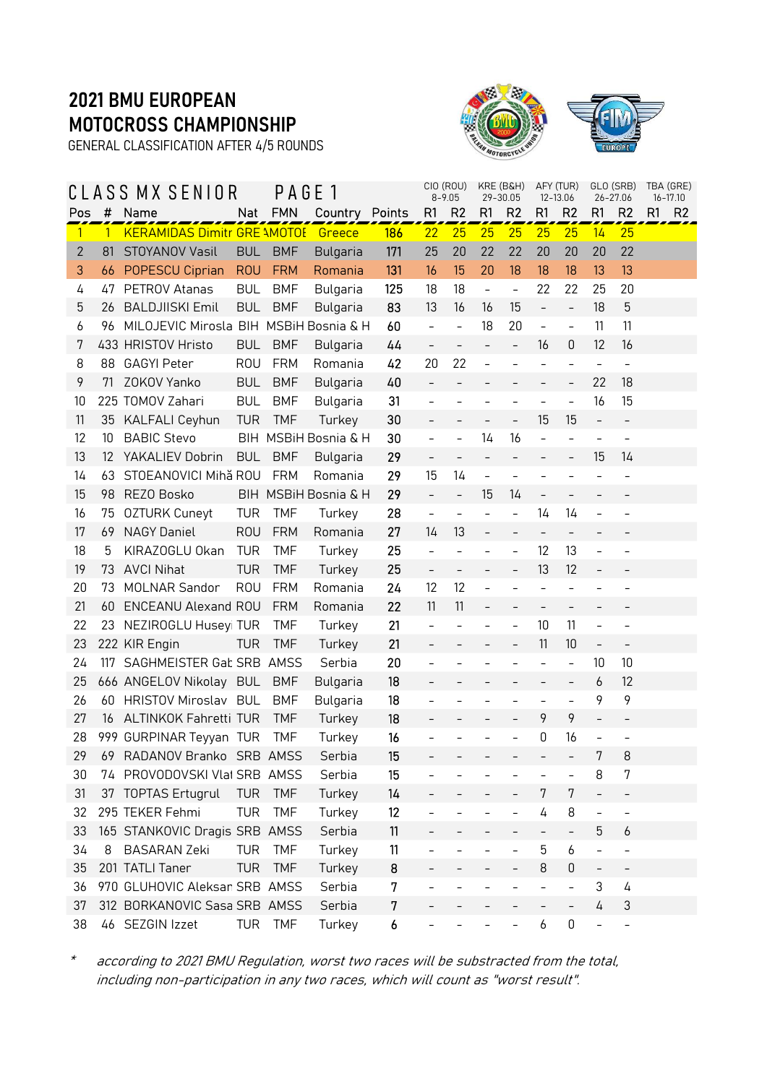GENERAL CLASSIFICATION AFTER 4/5 ROUNDS



|              | A S               | S MX SENIOR                            |            | PAGE       | $\overline{\phantom{a}}$ |     |                          | CIO (ROU)<br>$8 - 9.05$  | KRE (B&H)<br>29-30.05        |                          |                          | AFY (TUR)<br>12-13.06    |                          | GLO (SRB)<br>26-27.06        | TBA (GRE)<br>16-17.10 |                |
|--------------|-------------------|----------------------------------------|------------|------------|--------------------------|-----|--------------------------|--------------------------|------------------------------|--------------------------|--------------------------|--------------------------|--------------------------|------------------------------|-----------------------|----------------|
| Pos          | #                 | Name                                   | Nat        | <b>FMN</b> | Country Points           |     | R <sub>1</sub>           | R <sub>2</sub>           | R1                           | R <sub>2</sub>           | R1                       | R <sub>2</sub>           | R1                       | R <sub>2</sub>               | R1                    | R <sub>2</sub> |
| $\vert$      | $\mathbf{1}$      | <b>KERAMIDAS Dimitr GRE \MOTOE</b>     |            |            | Greece                   | 186 | 22                       | 25                       | 25                           | 25                       | 25                       | 25                       | 14                       | 25                           |                       |                |
| $\mathbf{2}$ | 81                | STOYANOV Vasil                         | <b>BUL</b> | <b>BMF</b> | Bulgaria                 | 171 | 25                       | 20                       | 22                           | 22                       | 20                       | 20                       | 20                       | 22                           |                       |                |
| 3            | 66                | POPESCU Ciprian                        | <b>ROU</b> | <b>FRM</b> | Romania                  | 131 | 16                       | 15                       | 20                           | 18                       | 18                       | 18                       | 13                       | 13                           |                       |                |
| 4            | 47                | PETROV Atanas                          | <b>BUL</b> | <b>BMF</b> | Bulgaria                 | 125 | 18                       | 18                       | $\qquad \qquad \blacksquare$ | $\blacksquare$           | 22                       | 22                       | 25                       | 20                           |                       |                |
| 5            | 26                | <b>BALDJIISKI Emil</b>                 | <b>BUL</b> | <b>BMF</b> | Bulgaria                 | 83  | 13                       | 16                       | 16                           | 15                       | $\bar{ }$                | $\overline{\phantom{a}}$ | 18                       | 5                            |                       |                |
| 6            | 96                | MILOJEVIC Mirosla BIH MSBiH Bosnia & H |            |            |                          | 60  | $\overline{a}$           | $\overline{a}$           | 18                           | 20                       | $\overline{a}$           | $\frac{1}{2}$            | 11                       | 11                           |                       |                |
| 7            |                   | 433 HRISTOV Hristo                     | <b>BUL</b> | <b>BMF</b> | Bulgaria                 | 44  | $\qquad \qquad -$        | $\equiv$                 | $\overline{\phantom{a}}$     | $\bar{ }$                | 16                       | 0                        | 12                       | 16                           |                       |                |
| 8            | 88                | <b>GAGYI Peter</b>                     | <b>ROU</b> | <b>FRM</b> | Romania                  | 42  | 20                       | 22                       | $\overline{a}$               |                          | $\overline{a}$           | $\overline{\phantom{0}}$ | $\overline{a}$           | $\frac{1}{2}$                |                       |                |
| 9            | 71                | ZOKOV Yanko                            | <b>BUL</b> | <b>BMF</b> | Bulgaria                 | 40  | $\overline{\phantom{0}}$ |                          |                              | $\overline{\phantom{0}}$ | $\qquad \qquad -$        | $\overline{\phantom{a}}$ | 22                       | 18                           |                       |                |
| 10           |                   | 225 TOMOV Zahari                       | <b>BUL</b> | <b>BMF</b> | Bulgaria                 | 31  | $\bar{\phantom{a}}$      | $\overline{\phantom{a}}$ | $\overline{\phantom{a}}$     | $\overline{\phantom{0}}$ | $\overline{\phantom{0}}$ | $\overline{\phantom{a}}$ | 16                       | 15                           |                       |                |
| 11           |                   | 35 KALFALI Ceyhun                      | <b>TUR</b> | <b>TMF</b> | Turkey                   | 30  |                          |                          |                              | $\overline{a}$           | 15                       | 15                       | $\overline{a}$           | $\overline{\phantom{0}}$     |                       |                |
| 12           | 10                | <b>BABIC Stevo</b>                     |            |            | BIH MSBIH Bosnia & H     | 30  | $\frac{1}{2}$            | $\bar{\phantom{a}}$      | 14                           | 16                       | $\overline{a}$           | $\qquad \qquad -$        | $\overline{a}$           | $\overline{\phantom{a}}$     |                       |                |
| 13           | $12 \overline{ }$ | YAKALIEV Dobrin                        | <b>BUL</b> | <b>BMF</b> | <b>Bulgaria</b>          | 29  | $\overline{a}$           | $\overline{a}$           | $\overline{a}$               | $\bar{ }$                | $\overline{\phantom{0}}$ | $\overline{\phantom{a}}$ | 15                       | 14                           |                       |                |
| 14           | 63                | STOEANOVICI Mihă ROU                   |            | <b>FRM</b> | Romania                  | 29  | 15                       | 14                       | $\overline{a}$               | $\overline{a}$           | $\overline{a}$           |                          |                          |                              |                       |                |
| 15           | 98                | REZO Bosko                             |            |            | BIH MSBiH Bosnia & H     | 29  | $\bar{a}$                | $\overline{\phantom{a}}$ | 15                           | 14                       | $\overline{\phantom{0}}$ | $\qquad \qquad -$        |                          |                              |                       |                |
| 16           | 75                | <b>OZTURK Cuneyt</b>                   | <b>TUR</b> | <b>TMF</b> | Turkey                   | 28  | $\bar{\phantom{a}}$      | $\overline{a}$           |                              | $\overline{\phantom{0}}$ | 14                       | 14                       |                          |                              |                       |                |
| 17           | 69                | <b>NAGY Daniel</b>                     | <b>ROU</b> | <b>FRM</b> | Romania                  | 27  | 14                       | 13                       | $\qquad \qquad -$            | $\qquad \qquad -$        | $\overline{\phantom{0}}$ | $\overline{\phantom{a}}$ |                          |                              |                       |                |
| 18           | 5                 | KIRAZOGLU Okan                         | <b>TUR</b> | <b>TMF</b> | Turkey                   | 25  | $\overline{a}$           | $\overline{a}$           |                              | $\overline{a}$           | 12                       | 13                       |                          | $\overline{\phantom{a}}$     |                       |                |
| 19           | 73                | <b>AVCI Nihat</b>                      | <b>TUR</b> | <b>TMF</b> | Turkey                   | 25  | $\qquad \qquad -$        | $\overline{\phantom{a}}$ | $\overline{\phantom{a}}$     | $\overline{\phantom{0}}$ | 13                       | 12                       | $\overline{\phantom{0}}$ |                              |                       |                |
| 20           | 73                | <b>MOLNAR Sandor</b>                   | <b>ROU</b> | <b>FRM</b> | Romania                  | 24  | 12                       | 12                       | $\overline{a}$               |                          | $\overline{a}$           |                          |                          |                              |                       |                |
| 21           | 60                | <b>ENCEANU Alexand ROU</b>             |            | <b>FRM</b> | Romania                  | 22  | 11                       | 11                       |                              |                          |                          |                          |                          |                              |                       |                |
| 22           | 23                | NEZIROGLU Huseyi TUR                   |            | <b>TMF</b> | Turkey                   | 21  | $\frac{1}{2}$            | $\overline{\phantom{a}}$ |                              | $\overline{a}$           | 10                       | 11                       | $\overline{a}$           | $\qquad \qquad -$            |                       |                |
| 23           |                   | 222 KIR Engin                          | TUR        | <b>TMF</b> | Turkey                   | 21  | $\overline{\phantom{0}}$ | $\qquad \qquad -$        | $\overline{\phantom{a}}$     | $\overline{\phantom{0}}$ | 11                       | 10                       | $\overline{\phantom{0}}$ | $\overline{\phantom{a}}$     |                       |                |
| 24           | 117               | SAGHMEISTER Gab SRB AMSS               |            |            | Serbia                   | 20  | $\bar{\phantom{a}}$      | $\qquad \qquad -$        |                              |                          | $\qquad \qquad -$        | $\overline{\phantom{a}}$ | 10                       | 10                           |                       |                |
| 25           |                   | 666 ANGELOV Nikolay BUL                |            | <b>BMF</b> | Bulgaria                 | 18  |                          |                          |                              |                          |                          | $\overline{\phantom{a}}$ | 6                        | 12                           |                       |                |
| 26           |                   | 60 HRISTOV Miroslav BUL                |            | <b>BMF</b> | Bulgaria                 | 18  | $\overline{a}$           |                          |                              |                          | $\overline{a}$           | $\overline{a}$           | 9                        | 9                            |                       |                |
| 27           | 16                | ALTINKOK Fahretti TUR                  |            | <b>TMF</b> | Turkey                   | 18  |                          | $\overline{\phantom{a}}$ | $\qquad \qquad -$            | $\overline{a}$           | 9                        | 9                        | $\overline{a}$           | $\overline{\phantom{0}}$     |                       |                |
| 28           |                   | 999 GURPINAR Teyyan TUR                |            | <b>TMF</b> | Turkey                   | 16  |                          |                          |                              |                          | 0                        | 16                       |                          |                              |                       |                |
| 29           |                   | 69 RADANOV Branko SRB AMSS             |            |            | Serbia                   | 15  |                          |                          |                              | $\overline{\phantom{a}}$ | $\overline{\phantom{a}}$ |                          | 7                        | 8                            |                       |                |
| 30           |                   | 74 PROVODOVSKI Vlat SRB AMSS           |            |            | Serbia                   | 15  |                          |                          |                              |                          |                          |                          | 8                        | 7                            |                       |                |
| 31           |                   | 37 TOPTAS Ertugrul                     | <b>TUR</b> | <b>TMF</b> | Turkey                   | 14  |                          |                          |                              |                          | 7                        | 7                        |                          | $\overline{\phantom{0}}$     |                       |                |
| 32           |                   | 295 TEKER Fehmi                        | <b>TUR</b> | <b>TMF</b> | Turkey                   | 12  |                          |                          |                              |                          | 4                        | 8                        |                          | $\overline{\phantom{0}}$     |                       |                |
| 33           |                   | 165 STANKOVIC Dragis SRB AMSS          |            |            | Serbia                   | 11  |                          |                          |                              |                          |                          |                          | 5                        | 6                            |                       |                |
| 34           | 8                 | <b>BASARAN Zeki</b>                    | <b>TUR</b> | <b>TMF</b> | Turkey                   | 11  |                          |                          |                              |                          | 5                        | 6                        | $\overline{a}$           | $\overline{\phantom{a}}$     |                       |                |
| 35           |                   | 201 TATLI Taner                        | <b>TUR</b> | <b>TMF</b> | Turkey                   | 8   |                          |                          |                              |                          | 8                        | 0                        | $\overline{\phantom{0}}$ | $\qquad \qquad \blacksquare$ |                       |                |
| 36           |                   | 970 GLUHOVIC Aleksan SRB AMSS          |            |            | Serbia                   | 7   |                          |                          |                              |                          | $\overline{\phantom{0}}$ | $\qquad \qquad -$        | 3                        | 4                            |                       |                |
| 37           |                   | 312 BORKANOVIC Sasa SRB AMSS           |            |            | Serbia                   | 7   |                          |                          |                              |                          |                          |                          | 4                        | $\ensuremath{\mathsf{3}}$    |                       |                |
| 38           |                   | 46 SEZGIN Izzet                        | <b>TUR</b> | <b>TMF</b> | Turkey                   | 6   |                          |                          |                              |                          | 6                        | $\mathsf 0$              | $\overline{\phantom{0}}$ | $\qquad \qquad -$            |                       |                |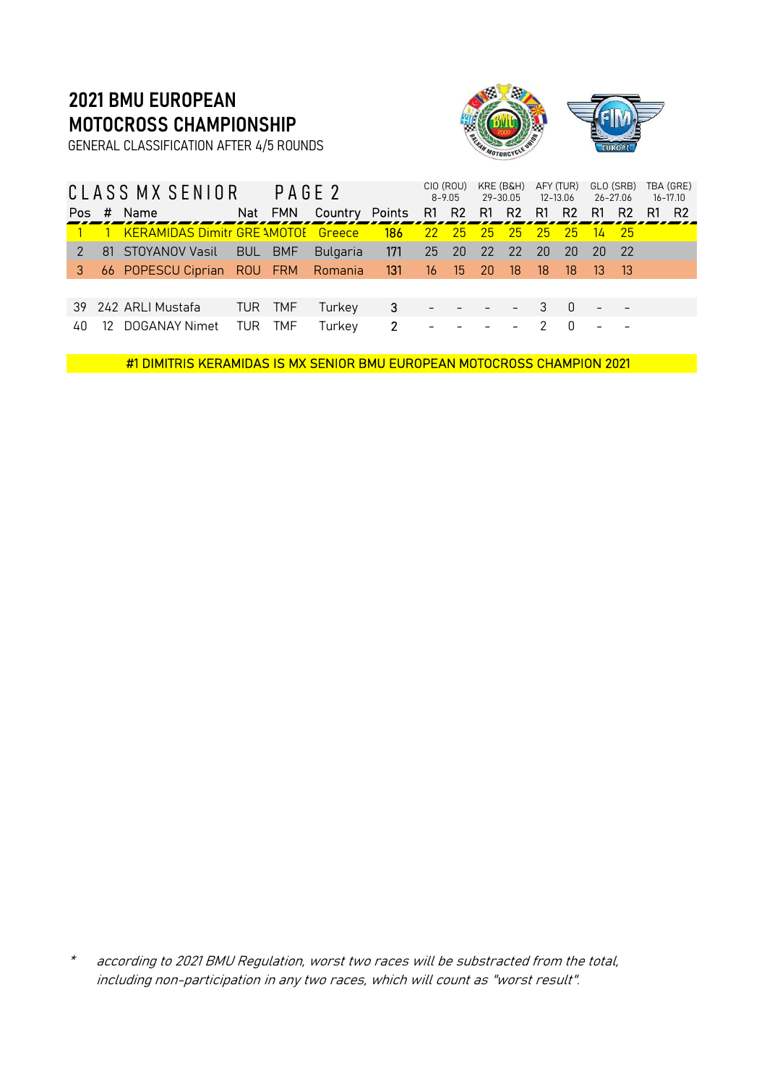GENERAL CLASSIFICATION AFTER 4/5 ROUNDS



|    |     | CLASS MX SENIOR                           |            | PAGE 2     |                                                   |                |                  | CIO (ROU)<br>$8 - 9.05$                                              |       | KRE (B&H)<br>29-30.05 | 12-13.06                   | AFY (TUR) | 26-27.06                    | GLO (SRB) | TBA (GRE)<br>$16 - 17.10$ |
|----|-----|-------------------------------------------|------------|------------|---------------------------------------------------|----------------|------------------|----------------------------------------------------------------------|-------|-----------------------|----------------------------|-----------|-----------------------------|-----------|---------------------------|
|    |     | Pos # Name                                |            |            | Nat FMN Country Points R1 R2 R1 R2 R1 R2 R1 R2 R1 |                |                  |                                                                      |       |                       |                            |           |                             |           | - R2                      |
|    |     | <b>KERAMIDAS Dimitr GRE \MOTOE</b> Greece |            |            |                                                   | 186            |                  | $\begin{array}{ c c c c c }\n\hline\n22 & 25 \\ \hline\n\end{array}$ | $-25$ | 25 25                 |                            | $-25$     | $14$ 25                     |           |                           |
|    |     | 81 STOYANOV Vasil                         | <b>BUL</b> | <b>BMF</b> | <b>Bulgaria</b>                                   | 171            |                  | 25 20                                                                | 22    | 22                    | <b>20</b>                  | <b>20</b> | 20 22                       |           |                           |
| 3  |     | 66 POPESCU Ciprian ROU FRM                |            |            | Romania                                           | 131            | $\sqrt{16}$ 15   |                                                                      | -20   | 18                    | -18                        | $-18$     | $\overline{\phantom{1}}$ 13 | - 13      |                           |
|    |     |                                           |            |            |                                                   |                |                  |                                                                      |       |                       |                            |           |                             |           |                           |
|    |     | 39 242 ARLI Mustafa                       |            | TUR TMF    | Turkey                                            | $3 - - - -$    |                  |                                                                      |       |                       | $\overline{\phantom{a}}$ 3 | $0 -$     |                             |           |                           |
| 40 | -12 | DOGANAY Nimet                             | TUR        | <b>TMF</b> | Turkey                                            | $\overline{2}$ | and the state of |                                                                      |       |                       |                            |           |                             |           |                           |

#1 DIMITRIS KERAMIDAS IS MX SENIOR BMU EUROPEAN MOTOCROSS CHAMPION 2021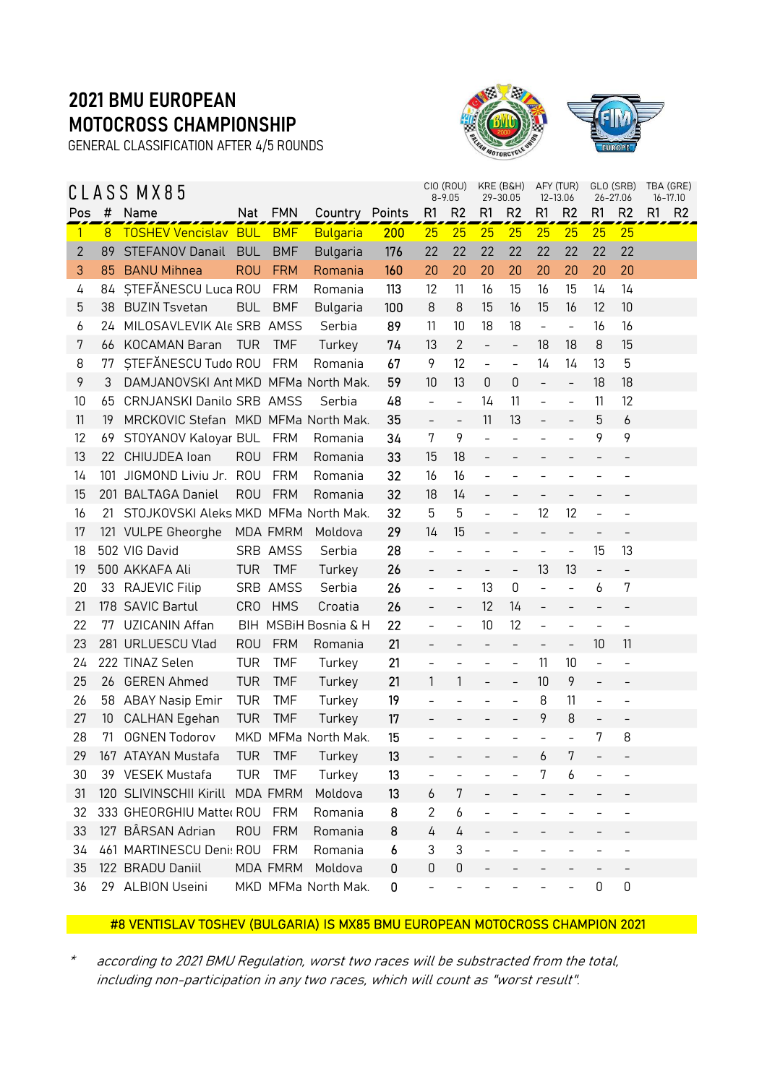GENERAL CLASSIFICATION AFTER 4/5 ROUNDS



|                |     | CLASS MX85                           |                 |                 |                      |     |                          | CIO (ROU)<br>$8 - 9.05$  |                              | KRE (B&H)<br>29-30.05    |                          | AFY (TUR)<br>12-13.06    |                          | GLO (SRB)<br>26-27.06    | TBA (GRE) | $16 - 17.10$   |
|----------------|-----|--------------------------------------|-----------------|-----------------|----------------------|-----|--------------------------|--------------------------|------------------------------|--------------------------|--------------------------|--------------------------|--------------------------|--------------------------|-----------|----------------|
| Pos            | #   | Name                                 | Nat             | <b>FMN</b>      | Country Points       |     | R1                       | R <sub>2</sub>           | R1                           | R <sub>2</sub>           | R1                       | R2                       | R1                       | R <sub>2</sub>           | R1        | R <sub>2</sub> |
| $\overline{1}$ | 8   | <b>TOSHEV Vencislav BUL</b>          |                 | <b>BMF</b>      | <b>Bulgaria</b>      | 200 | 25                       | 25                       | 25                           | 25                       | 25                       | 25                       | 25                       | 25                       |           |                |
| $\mathbf{2}$   | 89  | <b>STEFANOV Danail</b>               | <b>BUL</b>      | <b>BMF</b>      | <b>Bulgaria</b>      | 176 | 22                       | 22                       | 22                           | 22                       | 22                       | 22                       | 22                       | 22                       |           |                |
| 3              | 85  | <b>BANU Mihnea</b>                   | <b>ROU</b>      | <b>FRM</b>      | Romania              | 160 | 20                       | 20                       | 20                           | 20                       | 20                       | 20                       | 20                       | 20                       |           |                |
| 4              | 84  | STEFĂNESCU Luca ROU                  |                 | <b>FRM</b>      | Romania              | 113 | 12                       | 11                       | 16                           | 15                       | 16                       | 15                       | 14                       | 14                       |           |                |
| 5              | 38  | <b>BUZIN Tsvetan</b>                 | <b>BUL</b>      | <b>BMF</b>      | Bulgaria             | 100 | 8                        | 8                        | 15                           | 16                       | 15                       | 16                       | 12                       | 10                       |           |                |
| 6              | 24  | MILOSAVLEVIK Ale SRB AMSS            |                 |                 | Serbia               | 89  | 11                       | 10                       | 18                           | 18                       | $\frac{1}{2}$            | $\overline{\phantom{a}}$ | 16                       | 16                       |           |                |
| 7              | 66  | KOCAMAN Baran                        | <b>TUR</b>      | <b>TMF</b>      | Turkey               | 74  | 13                       | $\mathbf{2}$             | $\overline{\phantom{a}}$     | $\overline{\phantom{a}}$ | 18                       | 18                       | 8                        | 15                       |           |                |
| 8              | 77  | STEFĂNESCU Tudo ROU                  |                 | <b>FRM</b>      | Romania              | 67  | 9                        | 12                       | $\qquad \qquad \blacksquare$ | $\overline{a}$           | 14                       | 14                       | 13                       | 5                        |           |                |
| 9              | 3   | DAMJANOVSKI Ant MKD MFMa North Mak.  |                 |                 |                      | 59  | 10                       | 13                       | 0                            | 0                        | $\bar{ }$                | $\overline{\phantom{a}}$ | 18                       | 18                       |           |                |
| 10             | 65  | <b>CRNJANSKI Danilo SRB AMSS</b>     |                 |                 | Serbia               | 48  | $\overline{a}$           | $\frac{1}{2}$            | 14                           | 11                       | $\overline{a}$           | $\frac{1}{2}$            | 11                       | 12                       |           |                |
| 11             | 19  | MRCKOVIC Stefan MKD MFMa North Mak.  |                 |                 |                      | 35  | $\bar{\phantom{a}}$      | $\equiv$                 | 11                           | 13                       | $\overline{a}$           | $\overline{\phantom{a}}$ | 5                        | 6                        |           |                |
| 12             | 69  | STOYANOV Kaloyar BUL                 |                 | <b>FRM</b>      | Romania              | 34  | 7                        | 9                        | $\equiv$                     | $\overline{a}$           | $\overline{\phantom{0}}$ |                          | 9                        | 9                        |           |                |
| 13             | 22  | CHIUJDEA Ioan                        | <b>ROU</b>      | <b>FRM</b>      | Romania              | 33  | 15                       | 18                       | $\qquad \qquad -$            | $\overline{\phantom{0}}$ |                          |                          |                          |                          |           |                |
| 14             | 101 | JIGMOND Liviu Jr.                    | <b>ROU</b>      | <b>FRM</b>      | Romania              | 32  | 16                       | 16                       | $\qquad \qquad -$            |                          | -                        |                          |                          | $\qquad \qquad -$        |           |                |
| 15             |     | 201 BALTAGA Daniel                   | <b>ROU</b>      | <b>FRM</b>      | Romania              | 32  | 18                       | 14                       |                              |                          |                          |                          |                          |                          |           |                |
| 16             | 21  | STOJKOVSKI Aleks MKD MFMa North Mak. |                 |                 |                      | 32  | 5                        | 5                        | $\overline{a}$               | $\overline{a}$           | 12                       | 12                       | $\overline{a}$           | $\qquad \qquad -$        |           |                |
| 17             |     | 121 VULPE Gheorghe                   |                 | MDA FMRM        | Moldova              | 29  | 14                       | 15                       | $\overline{\phantom{0}}$     | $\overline{a}$           | $\bar{ }$                | $\overline{\phantom{a}}$ | $\overline{\phantom{0}}$ | $\overline{\phantom{0}}$ |           |                |
| 18             |     | 502 VIG David                        |                 | SRB AMSS        | Serbia               | 28  |                          |                          |                              |                          | $\overline{a}$           | $\overline{\phantom{a}}$ | 15                       | 13                       |           |                |
| 19             |     | 500 AKKAFA Ali                       | TUR             | <b>TMF</b>      | Turkey               | 26  | $\qquad \qquad -$        | $\qquad \qquad -$        | $\qquad \qquad -$            | $\qquad \qquad -$        | 13                       | 13                       | $\overline{\phantom{0}}$ | $\overline{\phantom{a}}$ |           |                |
| 20             |     | 33 RAJEVIC Filip                     |                 | SRB AMSS        | Serbia               | 26  | $\overline{a}$           | $\overline{\phantom{a}}$ | 13                           | $\mathbf 0$              | $\overline{a}$           | $\overline{\phantom{a}}$ | 6                        | 7                        |           |                |
| 21             |     | 178 SAVIC Bartul                     | CR <sub>0</sub> | <b>HMS</b>      | Croatia              | 26  | $\overline{\phantom{a}}$ | $\overline{\phantom{a}}$ | 12                           | 14                       | $\overline{\phantom{0}}$ | $\qquad \qquad -$        | $\overline{\phantom{0}}$ | $\overline{\phantom{a}}$ |           |                |
| 22             | 77  | UZICANIN Affan                       |                 |                 | BIH MSBiH Bosnia & H | 22  |                          | $\overline{\phantom{a}}$ | 10                           | 12                       | $\overline{\phantom{0}}$ |                          |                          |                          |           |                |
| 23             |     | 281 URLUESCU Vlad                    | <b>ROU</b>      | <b>FRM</b>      | Romania              | 21  | $\qquad \qquad -$        | $\overline{\phantom{a}}$ | $\overline{\phantom{a}}$     | $\overline{\phantom{0}}$ | $\qquad \qquad -$        | $\overline{\phantom{a}}$ | 10                       | 11                       |           |                |
| 24             |     | 222 TINAZ Selen                      | <b>TUR</b>      | <b>TMF</b>      | Turkey               | 21  | $\overline{a}$           | $\overline{a}$           |                              | $\overline{a}$           | 11                       | 10                       | $\overline{a}$           | $\overline{\phantom{a}}$ |           |                |
| 25             | 26  | <b>GEREN Ahmed</b>                   | <b>TUR</b>      | <b>TMF</b>      | Turkey               | 21  | 1                        | 1                        | $\overline{\phantom{a}}$     | $\qquad \qquad -$        | 10                       | 9                        | $\overline{a}$           | $\overline{\phantom{a}}$ |           |                |
| 26             |     | 58 ABAY Nasip Emir                   | <b>TUR</b>      | <b>TMF</b>      | Turkey               | 19  | $\overline{\phantom{a}}$ |                          |                              | $\overline{\phantom{0}}$ | 8                        | 11                       | $\overline{\phantom{0}}$ | $\overline{\phantom{a}}$ |           |                |
| 27             | 10  | CALHAN Egehan                        | <b>TUR</b>      | <b>TMF</b>      | Turkey               | 17  |                          |                          |                              | $\overline{\phantom{0}}$ | 9                        | 8                        | $\overline{a}$           | $\overline{\phantom{a}}$ |           |                |
| 28             | 71  | <b>OGNEN Todorov</b>                 |                 |                 | MKD MFMa North Mak.  | 15  |                          |                          |                              |                          | $\overline{a}$           |                          | 7                        | 8                        |           |                |
| 29             |     | 167 ATAYAN Mustafa                   |                 | TUR TMF         | Turkey               | 13  |                          |                          |                              |                          | A                        | 7                        |                          |                          |           |                |
| 30             |     | 39 VESEK Mustafa                     | <b>TUR</b>      | <b>TMF</b>      | Turkey               | 13  |                          |                          |                              |                          | 7                        | 6                        |                          |                          |           |                |
| 31             |     | 120 SLIVINSCHII Kirill               |                 | <b>MDA FMRM</b> | Moldova              | 13  | 6                        | 7                        |                              |                          |                          |                          |                          |                          |           |                |
| 32             |     | 333 GHEORGHIU Matter ROU             |                 | FRM             | Romania              | 8   | 2                        | 6                        |                              |                          |                          |                          |                          |                          |           |                |
| 33             |     | 127 BÂRSAN Adrian                    | <b>ROU</b>      | <b>FRM</b>      | Romania              | 8   | 4                        | 4                        |                              |                          |                          |                          |                          |                          |           |                |
| 34             |     | 461 MARTINESCU Denis ROU             |                 | <b>FRM</b>      | Romania              | 6   | 3                        | 3                        |                              |                          |                          |                          |                          |                          |           |                |
| 35             |     | 122 BRADU Daniil                     |                 | <b>MDA FMRM</b> | Moldova              | 0   | 0                        | 0                        |                              |                          |                          |                          |                          |                          |           |                |
| 36             |     | 29 ALBION Useini                     |                 |                 | MKD MFMa North Mak.  | 0   |                          |                          |                              |                          |                          |                          | 0                        | $\mathbf 0$              |           |                |

#### #8 VENTISLAV TOSHEV (BULGARIA) IS MX85 BMU EUROPEAN MOTOCROSS CHAMPION 2021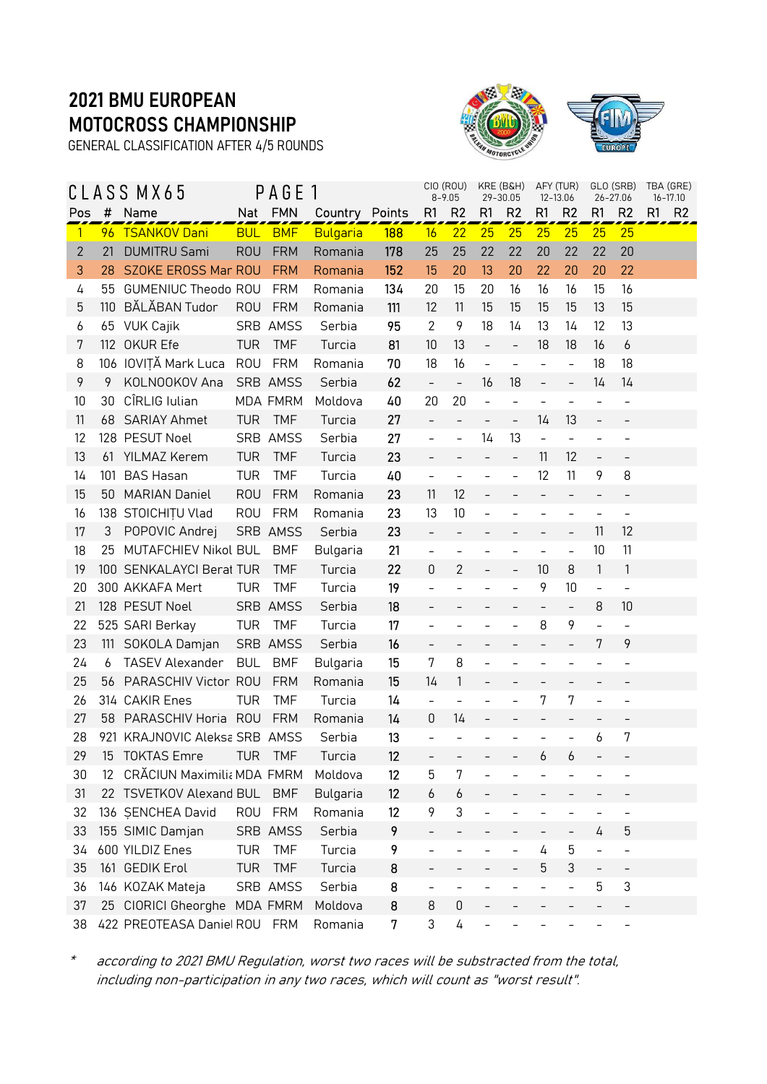GENERAL CLASSIFICATION AFTER 4/5 ROUNDS



|                |     | CLASS MX65                    |            | PAGE 1          |                 |            |                          | CIO (ROU)<br>$8 - 9.05$  | 29-30.05                 | KRE (B&H)                |                          | AFY (TUR)<br>12-13.06    |                          | GLO (SRB)<br>26-27.06    | TBA (GRE)<br>$16 - 17.10$ |                |
|----------------|-----|-------------------------------|------------|-----------------|-----------------|------------|--------------------------|--------------------------|--------------------------|--------------------------|--------------------------|--------------------------|--------------------------|--------------------------|---------------------------|----------------|
| Pos            | #   | Name                          | Nat        | <b>FMN</b>      | Country Points  |            | R1                       | R <sub>2</sub>           | R1                       | R <sub>2</sub>           | R1                       | R <sub>2</sub>           | R1                       | R <sub>2</sub>           | R1                        | R <sub>2</sub> |
| $\overline{1}$ |     | 96 TSANKOV Dani               | <b>BUL</b> | <b>BMF</b>      | <b>Bulgaria</b> | <b>188</b> | 16                       | 22                       | 25                       | 25                       | 25                       | 25                       | 25                       | 25                       |                           |                |
| $\mathbf{2}$   | 21  | <b>DUMITRU Sami</b>           | <b>ROU</b> | <b>FRM</b>      | Romania         | 178        | 25                       | 25                       | 22                       | 22                       | 20                       | 22                       | 22                       | 20                       |                           |                |
| 3              | 28  | SZOKE EROSS Mar ROU           |            | <b>FRM</b>      | Romania         | 152        | 15                       | 20                       | 13                       | 20                       | 22                       | 20                       | 20                       | 22                       |                           |                |
| 4              | 55  | <b>GUMENIUC Theodo ROU</b>    |            | <b>FRM</b>      | Romania         | 134        | 20                       | 15                       | 20                       | 16                       | 16                       | 16                       | 15                       | 16                       |                           |                |
| 5              | 110 | BĂLĂBAN Tudor                 | <b>ROU</b> | <b>FRM</b>      | Romania         | 111        | 12                       | 11                       | 15                       | 15                       | 15                       | 15                       | 13                       | 15                       |                           |                |
| 6              |     | 65 VUK Cajik                  |            | SRB AMSS        | Serbia          | 95         | $\overline{2}$           | 9                        | 18                       | 14                       | 13                       | 14                       | 12                       | 13                       |                           |                |
| 7              | 112 | OKUR Efe                      | <b>TUR</b> | <b>TMF</b>      | Turcia          | 81         | 10                       | 13                       | $\overline{\phantom{a}}$ | $\overline{\phantom{a}}$ | 18                       | 18                       | 16                       | 6                        |                           |                |
| 8              |     | 106 IOVIȚĂ Mark Luca          | <b>ROU</b> | <b>FRM</b>      | Romania         | 70         | 18                       | 16                       | $\qquad \qquad -$        | $\overline{\phantom{0}}$ | $\bar{\phantom{a}}$      | $\qquad \qquad -$        | 18                       | 18                       |                           |                |
| 9              | 9   | KOLNOOKOV Ana                 |            | SRB AMSS        | Serbia          | 62         | $\blacksquare$           | $\overline{\phantom{a}}$ | 16                       | 18                       | $\qquad \qquad -$        | $\overline{\phantom{a}}$ | 14                       | 14                       |                           |                |
| 10             | 30  | CÎRLIG Iulian                 |            | <b>MDA FMRM</b> | Moldova         | 40         | 20                       | 20                       | $\overline{a}$           | $\overline{a}$           | $\frac{1}{2}$            |                          |                          | $\frac{1}{2}$            |                           |                |
| 11             |     | 68 SARIAY Ahmet               | <b>TUR</b> | <b>TMF</b>      | Turcia          | 27         | $\bar{ }$                |                          | $\overline{\phantom{a}}$ | $\bar{\phantom{a}}$      | 14                       | 13                       | $\overline{\phantom{0}}$ |                          |                           |                |
| 12             |     | 128 PESUT Noel                |            | SRB AMSS        | Serbia          | 27         | $\frac{1}{2}$            | $\overline{\phantom{a}}$ | 14                       | 13                       | $\overline{a}$           | $\overline{\phantom{a}}$ |                          | $\qquad \qquad -$        |                           |                |
| 13             |     | 61 YILMAZ Kerem               | <b>TUR</b> | <b>TMF</b>      | Turcia          | 23         | $\bar{\phantom{a}}$      | $\overline{\phantom{0}}$ | $\overline{\phantom{a}}$ | $\bar{ }$                | 11                       | 12                       | $\qquad \qquad -$        | $\overline{\phantom{a}}$ |                           |                |
| 14             | 101 | <b>BAS Hasan</b>              | <b>TUR</b> | <b>TMF</b>      | Turcia          | 40         | $\overline{\phantom{0}}$ | $\overline{\phantom{a}}$ | $\overline{\phantom{a}}$ | $\overline{\phantom{0}}$ | 12                       | 11                       | 9                        | 8                        |                           |                |
| 15             | 50  | <b>MARIAN Daniel</b>          | <b>ROU</b> | <b>FRM</b>      | Romania         | 23         | 11                       | 12                       |                          |                          | $\bar{ }$                |                          |                          |                          |                           |                |
| 16             |     | 138 STOICHITU Vlad            | <b>ROU</b> | <b>FRM</b>      | Romania         | 23         | 13                       | 10                       |                          |                          | $\frac{1}{2}$            |                          | $\overline{a}$           | $\frac{1}{2}$            |                           |                |
| 17             | 3   | POPOVIC Andrej                |            | SRB AMSS        | Serbia          | 23         | $\overline{a}$           | $\overline{\phantom{a}}$ |                          | $\overline{\phantom{0}}$ | $\qquad \qquad -$        | $\overline{\phantom{a}}$ | 11                       | 12                       |                           |                |
| 18             | 25  | MUTAFCHIEV Nikol BUL          |            | <b>BMF</b>      | Bulgaria        | 21         | $\overline{\phantom{a}}$ | $\bar{\phantom{a}}$      |                          |                          | $\overline{\phantom{0}}$ | $\overline{\phantom{a}}$ | 10                       | 11                       |                           |                |
| 19             |     | 100 SENKALAYCI Berat TUR      |            | <b>TMF</b>      | Turcia          | 22         | 0                        | $\overline{2}$           | $\qquad \qquad -$        | $\qquad \qquad -$        | 10                       | 8                        | 1                        | 1                        |                           |                |
| 20             |     | 300 AKKAFA Mert               | TUR        | <b>TMF</b>      | Turcia          | 19         |                          |                          |                          | $\overline{a}$           | 9                        | 10                       | $\overline{a}$           | $\overline{\phantom{a}}$ |                           |                |
| 21             |     | 128 PESUT Noel                |            | SRB AMSS        | Serbia          | 18         |                          |                          |                          |                          | $\qquad \qquad -$        | $\overline{\phantom{a}}$ | 8                        | 10                       |                           |                |
| 22             |     | 525 SARI Berkay               | <b>TUR</b> | <b>TMF</b>      | Turcia          | 17         |                          |                          |                          | $\overline{a}$           | 8                        | 9                        |                          | $\frac{1}{2}$            |                           |                |
| 23             | 111 | SOKOLA Damjan                 |            | SRB AMSS        | Serbia          | 16         | $\qquad \qquad -$        | $\blacksquare$           | $\overline{\phantom{a}}$ | $\overline{\phantom{0}}$ |                          | $\overline{\phantom{0}}$ | 7                        | 9                        |                           |                |
| 24             | 6   | <b>TASEV Alexander</b>        | <b>BUL</b> | <b>BMF</b>      | Bulgaria        | 15         | 7                        | 8                        | $\overline{\phantom{0}}$ | $\overline{a}$           | $\overline{\phantom{0}}$ |                          |                          | $\overline{\phantom{a}}$ |                           |                |
| 25             |     | 56 PARASCHIV Victor ROU       |            | <b>FRM</b>      | Romania         | 15         | 14                       | 1                        | $\overline{\phantom{a}}$ |                          |                          |                          |                          |                          |                           |                |
| 26             |     | 314 CAKIR Enes                | TUR        | <b>TMF</b>      | Turcia          | 14         | $\overline{\phantom{0}}$ | $\overline{\phantom{a}}$ |                          | $\overline{\phantom{0}}$ | 7                        | 7                        | $\overline{a}$           | $\qquad \qquad -$        |                           |                |
| 27             |     | 58 PARASCHIV Horia ROU        |            | <b>FRM</b>      | Romania         | 14         | 0                        | 14                       |                          |                          |                          |                          |                          |                          |                           |                |
| 28             |     | 921 KRAJNOVIC Aleksa SRB AMSS |            |                 | Serbia          | 13         |                          |                          |                          |                          |                          |                          | 6                        | 7                        |                           |                |
| 29             |     | 15 TOKTAS Emre                |            | TUR TMF         | Turcia          | 12         |                          |                          |                          |                          | $\mathcal{L}$            | $\overline{a}$           |                          |                          |                           |                |
| 30             | 12  | CRĂCIUN Maximilia MDA FMRM    |            |                 | Moldova         | 12         | 5                        | 7                        |                          |                          |                          |                          |                          |                          |                           |                |
| 31             |     | 22 TSVETKOV Alexand BUL       |            | <b>BMF</b>      | Bulgaria        | 12         | 6                        | 6                        |                          |                          |                          |                          |                          |                          |                           |                |
| 32             |     | 136 SENCHEA David             | ROU        | <b>FRM</b>      | Romania         | 12         | 9                        | 3                        |                          |                          |                          |                          |                          |                          |                           |                |
| 33             |     | 155 SIMIC Damjan              |            | SRB AMSS        | Serbia          | 9          |                          |                          |                          |                          |                          |                          | 4                        | 5                        |                           |                |
| 34             |     | 600 YILDIZ Enes               | <b>TUR</b> | <b>TMF</b>      | Turcia          | 9          |                          |                          |                          |                          | 4                        | 5                        |                          | -                        |                           |                |
| 35             |     | 161 GEDIK Erol                | <b>TUR</b> | <b>TMF</b>      | Turcia          | 8          |                          |                          |                          |                          | 5                        | 3                        |                          | $\qquad \qquad -$        |                           |                |
| 36             |     | 146 KOZAK Mateja              |            | SRB AMSS        | Serbia          | 8          |                          |                          |                          |                          | $\overline{a}$           |                          | 5                        | 3                        |                           |                |
| 37             |     | 25 CIORICI Gheorghe           |            | <b>MDA FMRM</b> | Moldova         | 8          | 8                        | 0                        |                          |                          |                          |                          |                          |                          |                           |                |
| 38             |     | 422 PREOTEASA Daniel ROU FRM  |            |                 | Romania         | 7          | 3                        | 4                        |                          |                          |                          |                          |                          |                          |                           |                |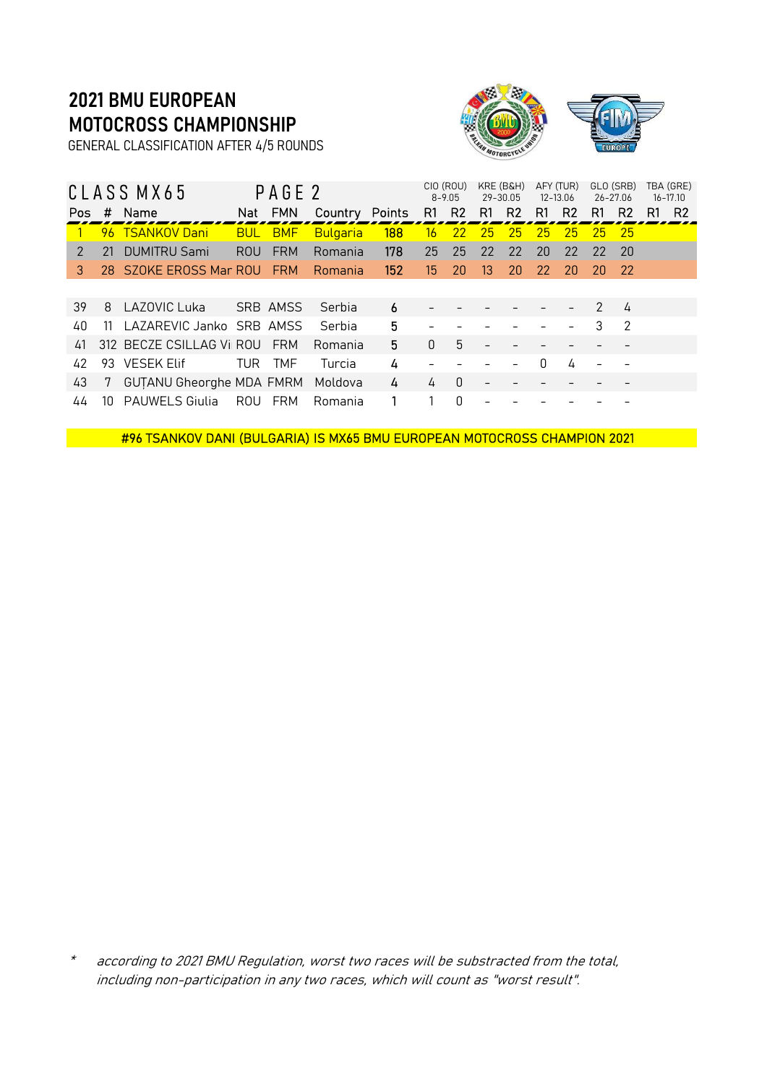GENERAL CLASSIFICATION AFTER 4/5 ROUNDS



|               |     | CLASS MX65                    |     | PAGE 2         |                 |        |                  | CIO (ROU)<br>$8 - 9.05$ |    | KRE (B&H)<br>29-30.05 |    | AFY (TUR)<br>12-13.06 |               | GLO (SRB)<br>26-27.06    |    | TBA (GRE)<br>$16 - 17.10$ |
|---------------|-----|-------------------------------|-----|----------------|-----------------|--------|------------------|-------------------------|----|-----------------------|----|-----------------------|---------------|--------------------------|----|---------------------------|
| Pos           | #   | Name                          |     | Nat FMN        | Country         | Points | R1               | <b>R2</b>               | R1 | R <sub>2</sub>        | R1 | R <sub>2</sub>        | R1            | R <sub>2</sub>           | R1 | R <sub>2</sub>            |
|               |     | 96 TSANKOV Dani               |     | <b>BUL BMF</b> | <b>Bulgaria</b> | 188    | 16               | -22                     | 25 | 25                    | 25 | 25                    | 25.           | -25                      |    |                           |
| $\mathcal{P}$ | 21  | <b>DUMITRU Sami</b>           | ROU | <b>FRM</b>     | Romania         | 178    | 25               | 25                      | 22 | 22                    | 20 | 22                    | 22            | -20                      |    |                           |
| 3             |     | 28 SZOKE EROSS Mar ROU FRM    |     |                | Romania         | 152    | 15 <sup>15</sup> | 20                      | 13 | 20                    | 22 | 20                    | -20.          | -22                      |    |                           |
|               |     |                               |     |                |                 |        |                  |                         |    |                       |    |                       |               |                          |    |                           |
| 39            | 8   | LAZOVIC Luka                  |     | SRB AMSS       | Serbia          | 6      |                  |                         |    |                       |    |                       | $\mathcal{P}$ | $\overline{4}$           |    |                           |
| 40            | -11 | LAZAREVIC Janko SRB AMSS      |     |                | Serbia          | 5      |                  |                         |    |                       |    |                       | 3             | $\overline{\phantom{a}}$ |    |                           |
| 41            |     | 312 BECZE CSILLAG Vil ROU FRM |     |                | Romania         | 5      | $\Omega$         | 5                       |    |                       |    |                       |               |                          |    |                           |
| 42            |     | 93 VESEK Elif                 | TUR | TMF            | Turcia          | 4      |                  |                         |    |                       | O  | 4                     |               |                          |    |                           |
| 43            | 7   | GUTANU Gheorghe MDA FMRM      |     |                | Moldova         | 4      | 4                | $\theta$                |    |                       |    |                       |               |                          |    |                           |
| 44            | 10  | <b>PAUWELS Giulia</b>         |     | ROU FRM        | Romania         |        |                  | 0                       |    |                       |    |                       |               |                          |    |                           |

#96 TSANKOV DANI (BULGARIA) IS MX65 BMU EUROPEAN MOTOCROSS CHAMPION 2021